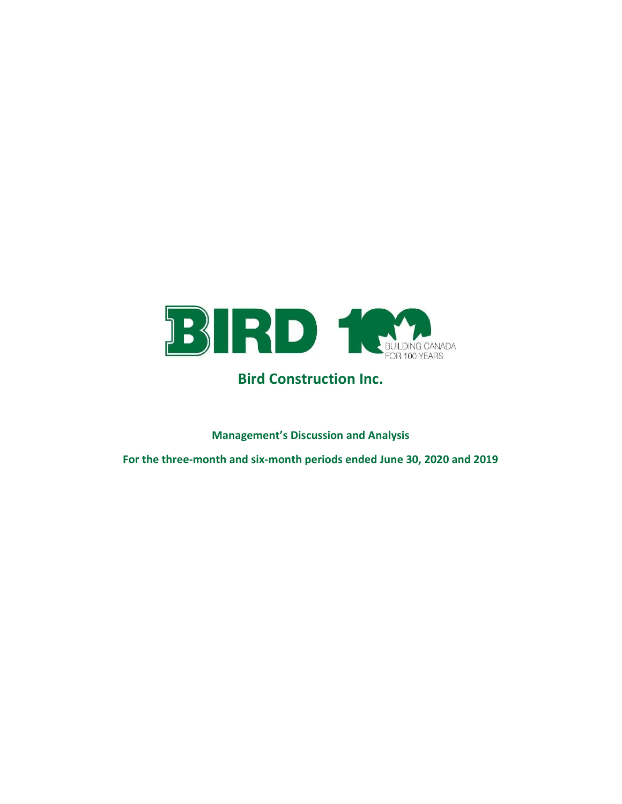

# Bird Construction Inc.

Management's Discussion and Analysis

For the three-month and six-month periods ended June 30, 2020 and 2019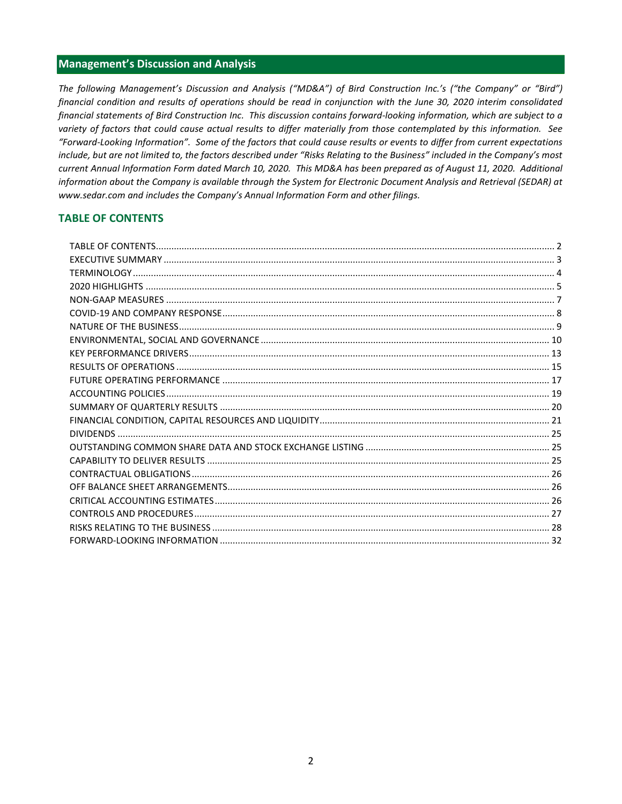## Management's Discussion and Analysis

The following Management's Discussion and Analysis ("MD&A") of Bird Construction Inc.'s ("the Company" or "Bird") financial condition and results of operations should be read in conjunction with the June 30, 2020 interim consolidated financial statements of Bird Construction Inc. This discussion contains forward-looking information, which are subject to a variety of factors that could cause actual results to differ materially from those contemplated by this information. See "Forward-Looking Information". Some of the factors that could cause results or events to differ from current expectations include, but are not limited to, the factors described under "Risks Relating to the Business" included in the Company's most current Annual Information Form dated March 10, 2020. This MD&A has been prepared as of August 11, 2020. Additional information about the Company is available through the System for Electronic Document Analysis and Retrieval (SEDAR) at www.sedar.com and includes the Company's Annual Information Form and other filings.

# TABLE OF CONTENTS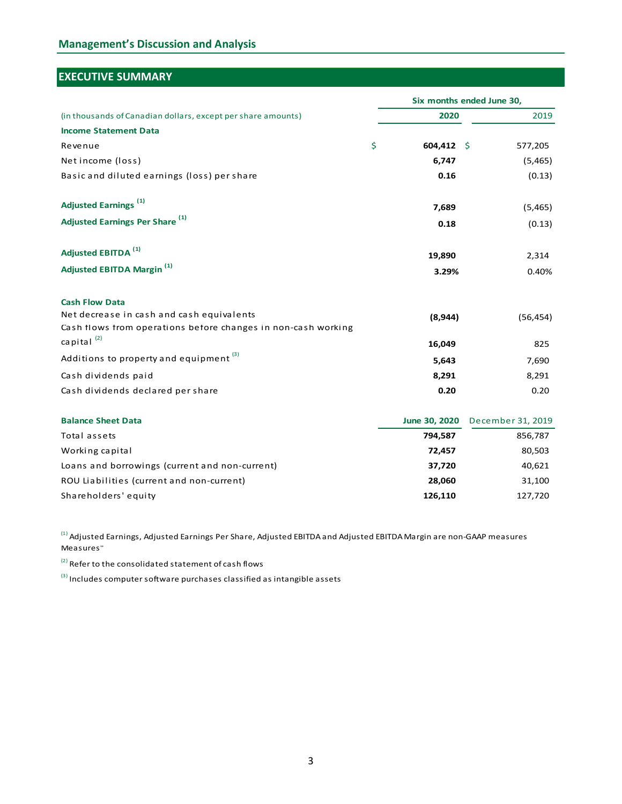# Management's Discussion and Analysis

# EXECUTIVE SUMMARY

| <b>Management's Discussion and Analysis</b>                                                  |                  |                           |
|----------------------------------------------------------------------------------------------|------------------|---------------------------|
|                                                                                              |                  |                           |
|                                                                                              |                  |                           |
| <b>EXECUTIVE SUMMARY</b>                                                                     |                  |                           |
|                                                                                              |                  |                           |
|                                                                                              |                  | Six months ended June 30, |
| (in thousands of Canadian dollars, except per share amounts)<br><b>Income Statement Data</b> | 2020             | 2019                      |
| Revenue                                                                                      | \$<br>604,412 \$ | 577,205                   |
| Net income (loss)                                                                            | 6,747            | (5,465)                   |
| Basic and diluted earnings (loss) per share                                                  | 0.16             | (0.13)                    |
|                                                                                              |                  |                           |
| <b>Adjusted Earnings<sup>(1)</sup></b>                                                       | 7,689            | (5, 465)                  |
| Adjusted Earnings Per Share <sup>(1)</sup>                                                   | 0.18             | (0.13)                    |
|                                                                                              |                  |                           |
| Adjusted EBITDA <sup>(1)</sup>                                                               | 19,890           | 2,314                     |
| <b>Adjusted EBITDA Margin (1)</b>                                                            | 3.29%            | 0.40%                     |
|                                                                                              |                  |                           |
| <b>Cash Flow Data</b>                                                                        |                  |                           |
| Net decrease in cash and cash equivalents                                                    | (8,944)          | (56, 454)                 |
| Cash flows from operations before changes in non-cash working                                |                  |                           |
| capital $^{(2)}$                                                                             | 16,049           | 825                       |
| Additions to property and equipment $(3)$                                                    | 5,643            | 7,690                     |
| Cash dividends paid                                                                          | 8,291            | 8,291                     |
| Cash dividends declared per share                                                            | 0.20             | 0.20                      |
| <b>Balance Sheet Data</b>                                                                    | June 30, 2020    | December 31, 2019         |
| Total assets                                                                                 | 794,587          | 856,787                   |
| Working capital                                                                              | 72,457           | 80,503                    |
| Loans and borrowings (current and non-current)                                               | 37,720           | 40,621                    |
| ROU Liabilities (current and non-current)                                                    | 28,060           | 31,100                    |
| Shareholders' equity                                                                         | 126,110          | 127,720                   |
|                                                                                              |                  |                           |

 $^{(3)}$  Includes computer software purchases classified as intangible assets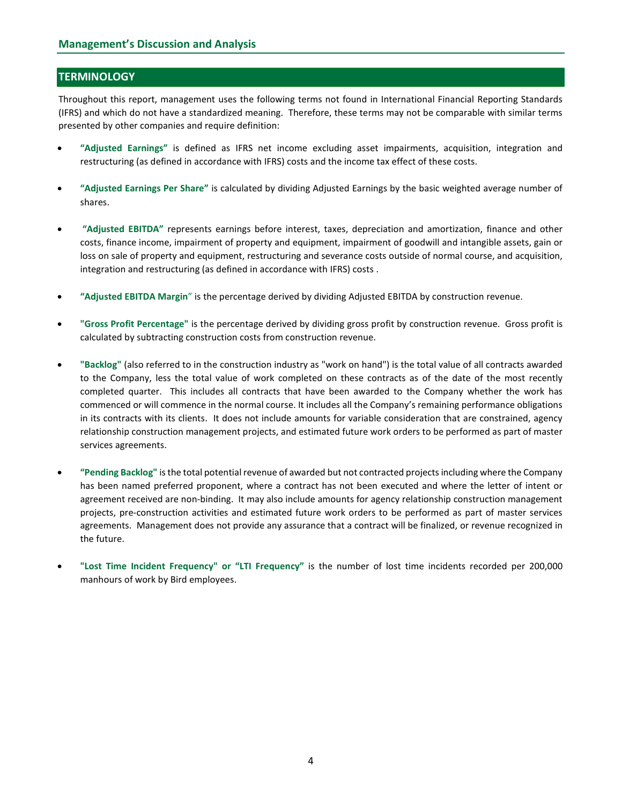# **TERMINOLOGY**

Throughout this report, management uses the following terms not found in International Financial Reporting Standards (IFRS) and which do not have a standardized meaning. Therefore, these terms may not be comparable with similar terms presented by other companies and require definition:

- "Adjusted Earnings" is defined as IFRS net income excluding asset impairments, acquisition, integration and restructuring (as defined in accordance with IFRS) costs and the income tax effect of these costs.
- "Adjusted Earnings Per Share" is calculated by dividing Adjusted Earnings by the basic weighted average number of shares.
- "Adjusted EBITDA" represents earnings before interest, taxes, depreciation and amortization, finance and other costs, finance income, impairment of property and equipment, impairment of goodwill and intangible assets, gain or loss on sale of property and equipment, restructuring and severance costs outside of normal course, and acquisition, integration and restructuring (as defined in accordance with IFRS) costs .
- "Adjusted EBITDA Margin" is the percentage derived by dividing Adjusted EBITDA by construction revenue.
- "Gross Profit Percentage" is the percentage derived by dividing gross profit by construction revenue. Gross profit is calculated by subtracting construction costs from construction revenue.
- "Backlog" (also referred to in the construction industry as "work on hand") is the total value of all contracts awarded to the Company, less the total value of work completed on these contracts as of the date of the most recently completed quarter. This includes all contracts that have been awarded to the Company whether the work has commenced or will commence in the normal course. It includes all the Company's remaining performance obligations in its contracts with its clients. It does not include amounts for variable consideration that are constrained, agency relationship construction management projects, and estimated future work orders to be performed as part of master services agreements.
- "Pending Backlog" is the total potential revenue of awarded but not contracted projects including where the Company has been named preferred proponent, where a contract has not been executed and where the letter of intent or agreement received are non-binding. It may also include amounts for agency relationship construction management projects, pre-construction activities and estimated future work orders to be performed as part of master services agreements. Management does not provide any assurance that a contract will be finalized, or revenue recognized in the future.
- "Lost Time Incident Frequency" or "LTI Frequency" is the number of lost time incidents recorded per 200,000 manhours of work by Bird employees.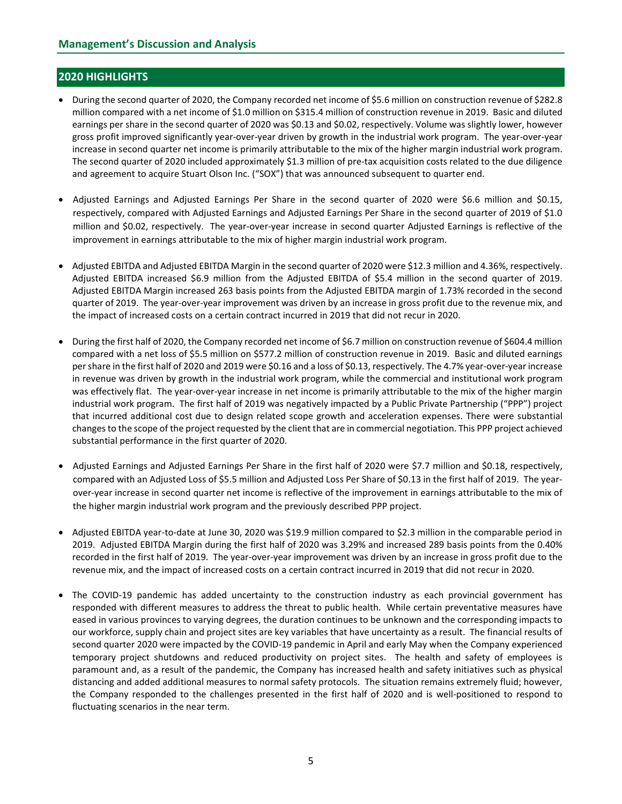# 2020 HIGHLIGHTS

- During the second quarter of 2020, the Company recorded net income of \$5.6 million on construction revenue of \$282.8 million compared with a net income of \$1.0 million on \$315.4 million of construction revenue in 2019. Basic and diluted earnings per share in the second quarter of 2020 was \$0.13 and \$0.02, respectively. Volume was slightly lower, however gross profit improved significantly year-over-year driven by growth in the industrial work program. The year-over-year increase in second quarter net income is primarily attributable to the mix of the higher margin industrial work program. The second quarter of 2020 included approximately \$1.3 million of pre-tax acquisition costs related to the due diligence and agreement to acquire Stuart Olson Inc. ("SOX") that was announced subsequent to quarter end.
- Adjusted Earnings and Adjusted Earnings Per Share in the second quarter of 2020 were \$6.6 million and \$0.15, respectively, compared with Adjusted Earnings and Adjusted Earnings Per Share in the second quarter of 2019 of \$1.0 million and \$0.02, respectively. The year-over-year increase in second quarter Adjusted Earnings is reflective of the improvement in earnings attributable to the mix of higher margin industrial work program.
- Adjusted EBITDA and Adjusted EBITDA Margin in the second quarter of 2020 were \$12.3 million and 4.36%, respectively. Adjusted EBITDA increased \$6.9 million from the Adjusted EBITDA of \$5.4 million in the second quarter of 2019. Adjusted EBITDA Margin increased 263 basis points from the Adjusted EBITDA margin of 1.73% recorded in the second quarter of 2019. The year-over-year improvement was driven by an increase in gross profit due to the revenue mix, and the impact of increased costs on a certain contract incurred in 2019 that did not recur in 2020.
- During the first half of 2020, the Company recorded net income of \$6.7 million on construction revenue of \$604.4 million compared with a net loss of \$5.5 million on \$577.2 million of construction revenue in 2019. Basic and diluted earnings per share in the first half of 2020 and 2019 were \$0.16 and a loss of \$0.13, respectively. The 4.7% year-over-year increase in revenue was driven by growth in the industrial work program, while the commercial and institutional work program was effectively flat. The year-over-year increase in net income is primarily attributable to the mix of the higher margin industrial work program. The first half of 2019 was negatively impacted by a Public Private Partnership ("PPP") project that incurred additional cost due to design related scope growth and acceleration expenses. There were substantial changes to the scope of the project requested by the client that are in commercial negotiation. This PPP project achieved substantial performance in the first quarter of 2020.
- Adjusted Earnings and Adjusted Earnings Per Share in the first half of 2020 were \$7.7 million and \$0.18, respectively, compared with an Adjusted Loss of \$5.5 million and Adjusted Loss Per Share of \$0.13 in the first half of 2019. The yearover-year increase in second quarter net income is reflective of the improvement in earnings attributable to the mix of the higher margin industrial work program and the previously described PPP project.
- Adjusted EBITDA year-to-date at June 30, 2020 was \$19.9 million compared to \$2.3 million in the comparable period in 2019. Adjusted EBITDA Margin during the first half of 2020 was 3.29% and increased 289 basis points from the 0.40% recorded in the first half of 2019. The year-over-year improvement was driven by an increase in gross profit due to the revenue mix, and the impact of increased costs on a certain contract incurred in 2019 that did not recur in 2020.
- The COVID-19 pandemic has added uncertainty to the construction industry as each provincial government has responded with different measures to address the threat to public health. While certain preventative measures have eased in various provinces to varying degrees, the duration continues to be unknown and the corresponding impacts to our workforce, supply chain and project sites are key variables that have uncertainty as a result. The financial results of second quarter 2020 were impacted by the COVID-19 pandemic in April and early May when the Company experienced temporary project shutdowns and reduced productivity on project sites. The health and safety of employees is paramount and, as a result of the pandemic, the Company has increased health and safety initiatives such as physical distancing and added additional measures to normal safety protocols. The situation remains extremely fluid; however, the Company responded to the challenges presented in the first half of 2020 and is well-positioned to respond to fluctuating scenarios in the near term.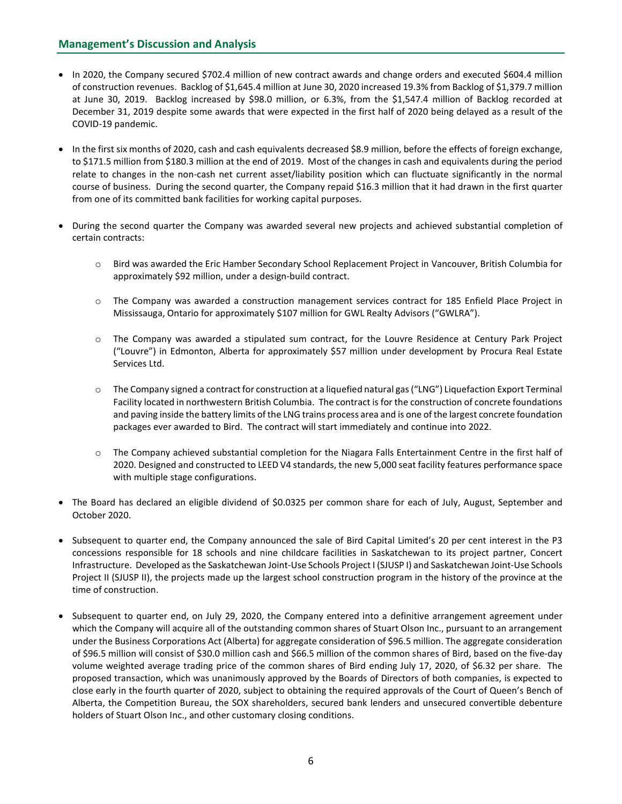- In 2020, the Company secured \$702.4 million of new contract awards and change orders and executed \$604.4 million of construction revenues. Backlog of \$1,645.4 million at June 30, 2020 increased 19.3% from Backlog of \$1,379.7 million at June 30, 2019. Backlog increased by \$98.0 million, or 6.3%, from the \$1,547.4 million of Backlog recorded at December 31, 2019 despite some awards that were expected in the first half of 2020 being delayed as a result of the COVID-19 pandemic.
- In the first six months of 2020, cash and cash equivalents decreased \$8.9 million, before the effects of foreign exchange, to \$171.5 million from \$180.3 million at the end of 2019. Most of the changes in cash and equivalents during the period relate to changes in the non-cash net current asset/liability position which can fluctuate significantly in the normal course of business. During the second quarter, the Company repaid \$16.3 million that it had drawn in the first quarter from one of its committed bank facilities for working capital purposes.
- During the second quarter the Company was awarded several new projects and achieved substantial completion of certain contracts:
	- o Bird was awarded the Eric Hamber Secondary School Replacement Project in Vancouver, British Columbia for approximately \$92 million, under a design-build contract.
	- o The Company was awarded a construction management services contract for 185 Enfield Place Project in Mississauga, Ontario for approximately \$107 million for GWL Realty Advisors ("GWLRA").
	- o The Company was awarded a stipulated sum contract, for the Louvre Residence at Century Park Project ("Louvre") in Edmonton, Alberta for approximately \$57 million under development by Procura Real Estate Services Ltd.
	- o The Company signed a contract for construction at a liquefied natural gas ("LNG") Liquefaction Export Terminal Facility located in northwestern British Columbia. The contract is for the construction of concrete foundations and paving inside the battery limits of the LNG trains process area and is one of the largest concrete foundation packages ever awarded to Bird. The contract will start immediately and continue into 2022.
	- o The Company achieved substantial completion for the Niagara Falls Entertainment Centre in the first half of 2020. Designed and constructed to LEED V4 standards, the new 5,000 seat facility features performance space with multiple stage configurations.
- The Board has declared an eligible dividend of \$0.0325 per common share for each of July, August, September and October 2020.
- Subsequent to quarter end, the Company announced the sale of Bird Capital Limited's 20 per cent interest in the P3 concessions responsible for 18 schools and nine childcare facilities in Saskatchewan to its project partner, Concert Infrastructure. Developed as the Saskatchewan Joint-Use Schools Project I (SJUSP I) and Saskatchewan Joint-Use Schools Project II (SJUSP II), the projects made up the largest school construction program in the history of the province at the time of construction.
- Subsequent to quarter end, on July 29, 2020, the Company entered into a definitive arrangement agreement under which the Company will acquire all of the outstanding common shares of Stuart Olson Inc., pursuant to an arrangement under the Business Corporations Act (Alberta) for aggregate consideration of \$96.5 million. The aggregate consideration of \$96.5 million will consist of \$30.0 million cash and \$66.5 million of the common shares of Bird, based on the five-day volume weighted average trading price of the common shares of Bird ending July 17, 2020, of \$6.32 per share. The proposed transaction, which was unanimously approved by the Boards of Directors of both companies, is expected to close early in the fourth quarter of 2020, subject to obtaining the required approvals of the Court of Queen's Bench of Alberta, the Competition Bureau, the SOX shareholders, secured bank lenders and unsecured convertible debenture holders of Stuart Olson Inc., and other customary closing conditions.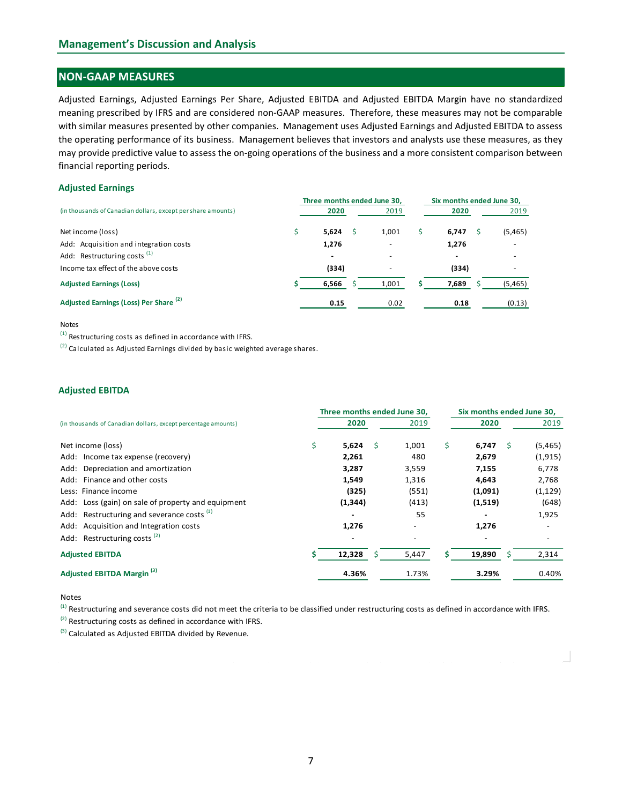# NON-GAAP MEASURES

#### Adjusted Earnings

| <b>Management's Discussion and Analysis</b>                                                                                                                                                                                                                                                                                                                                                                                                                                                                                                                                                                                                     |    |                             |       |    |                           |          |  |  |
|-------------------------------------------------------------------------------------------------------------------------------------------------------------------------------------------------------------------------------------------------------------------------------------------------------------------------------------------------------------------------------------------------------------------------------------------------------------------------------------------------------------------------------------------------------------------------------------------------------------------------------------------------|----|-----------------------------|-------|----|---------------------------|----------|--|--|
| <b>NON-GAAP MEASURES</b>                                                                                                                                                                                                                                                                                                                                                                                                                                                                                                                                                                                                                        |    |                             |       |    |                           |          |  |  |
| Adjusted Earnings, Adjusted Earnings Per Share, Adjusted EBITDA and Adjusted EBITDA Margin have no standardized<br>meaning prescribed by IFRS and are considered non-GAAP measures. Therefore, these measures may not be comparable<br>with similar measures presented by other companies. Management uses Adjusted Earnings and Adjusted EBITDA to assess<br>the operating performance of its business. Management believes that investors and analysts use these measures, as they<br>may provide predictive value to assess the on-going operations of the business and a more consistent comparison between<br>financial reporting periods. |    |                             |       |    |                           |          |  |  |
| <b>Adjusted Earnings</b>                                                                                                                                                                                                                                                                                                                                                                                                                                                                                                                                                                                                                        |    |                             |       |    |                           |          |  |  |
|                                                                                                                                                                                                                                                                                                                                                                                                                                                                                                                                                                                                                                                 |    | Three months ended June 30, |       |    | Six months ended June 30, |          |  |  |
| (in thousands of Canadian dollars, except per share amounts)                                                                                                                                                                                                                                                                                                                                                                                                                                                                                                                                                                                    |    | 2020                        | 2019  |    | 2020                      | 2019     |  |  |
| Net income (loss)                                                                                                                                                                                                                                                                                                                                                                                                                                                                                                                                                                                                                               | \$ | 5,624<br>Ŝ.                 | 1,001 | Ŝ. | - \$<br>6,747             | (5, 465) |  |  |
| Add: Acquisition and integration costs<br>Add: Restructuring costs <sup>(1)</sup>                                                                                                                                                                                                                                                                                                                                                                                                                                                                                                                                                               |    | 1,276                       |       |    | 1,276                     |          |  |  |
| Income tax effect of the above costs                                                                                                                                                                                                                                                                                                                                                                                                                                                                                                                                                                                                            |    | (334)                       |       |    | (334)                     |          |  |  |
| <b>Adjusted Earnings (Loss)</b>                                                                                                                                                                                                                                                                                                                                                                                                                                                                                                                                                                                                                 |    | 6,566                       | 1,001 |    | 7,689                     | (5,465)  |  |  |
| Adjusted Earnings (Loss) Per Share <sup>(2)</sup>                                                                                                                                                                                                                                                                                                                                                                                                                                                                                                                                                                                               |    | 0.15                        | 0.02  |    | 0.18                      | (0.13)   |  |  |
| <b>Notes</b><br><sup>(1)</sup> Restructuring costs as defined in accordance with IFRS.<br>$^{(2)}$ Calculated as Adjusted Earnings divided by basic weighted average shares.                                                                                                                                                                                                                                                                                                                                                                                                                                                                    |    |                             |       |    |                           |          |  |  |

#### Notes

#### Adjusted EBITDA

| Adjusted Earnings (Loss) Per Share <sup>(2)</sup>                                                                                                         | 0.15                        | 0.02 |       | 0.18 |                           | (0.13) |                              |
|-----------------------------------------------------------------------------------------------------------------------------------------------------------|-----------------------------|------|-------|------|---------------------------|--------|------------------------------|
| <b>Notes</b>                                                                                                                                              |                             |      |       |      |                           |        |                              |
| $(1)$ Restructuring costs as defined in accordance with IFRS.                                                                                             |                             |      |       |      |                           |        |                              |
| $^{(2)}$ Calculated as Adjusted Earnings divided by basic weighted average shares.                                                                        |                             |      |       |      |                           |        |                              |
|                                                                                                                                                           |                             |      |       |      |                           |        |                              |
| <b>Adjusted EBITDA</b>                                                                                                                                    |                             |      |       |      |                           |        |                              |
|                                                                                                                                                           | Three months ended June 30, |      |       |      | Six months ended June 30, |        |                              |
| (in thousands of Canadian dollars, except percentage amounts)                                                                                             | 2020                        |      | 2019  |      | 2020                      |        | 2019                         |
| Net income (loss)                                                                                                                                         | \$<br>5,624                 | -\$  | 1,001 | \$   | $6,747$ \$                |        | (5,465)                      |
| Add: Income tax expense (recovery)                                                                                                                        | 2,261                       |      | 480   |      | 2,679                     |        | (1, 915)                     |
| Add: Depreciation and amortization                                                                                                                        | 3,287                       |      | 3,559 |      | 7,155                     |        | 6,778                        |
| Add: Finance and other costs                                                                                                                              | 1,549                       |      | 1,316 |      | 4,643                     |        | 2,768                        |
| Less: Finance income                                                                                                                                      | (325)                       |      | (551) |      | (1,091)                   |        | (1, 129)                     |
| Add: Loss (gain) on sale of property and equipment                                                                                                        | (1, 344)                    |      | (413) |      | (1,519)                   |        | (648)                        |
| Restructuring and severance costs <sup>(1)</sup><br>Add:                                                                                                  |                             |      | 55    |      |                           |        | 1,925                        |
| Add: Acquisition and Integration costs                                                                                                                    | 1,276                       |      |       |      | 1,276                     |        |                              |
| Add: Restructuring costs <sup>(2)</sup>                                                                                                                   |                             |      |       |      |                           |        | $\qquad \qquad \blacksquare$ |
| <b>Adjusted EBITDA</b>                                                                                                                                    | 12,328                      | -S   | 5,447 |      | 19,890                    | -S     | 2,314                        |
| Adjusted EBITDA Margin <sup>(3)</sup>                                                                                                                     | 4.36%                       |      | 1.73% |      | 3.29%                     |        | 0.40%                        |
| Notes                                                                                                                                                     |                             |      |       |      |                           |        |                              |
| <sup>(1)</sup> Restructuring and severance costs did not meet the criteria to be classified under restructuring costs as defined in accordance with IFRS. |                             |      |       |      |                           |        |                              |
| $^{(2)}$ Restructuring costs as defined in accordance with IFRS.                                                                                          |                             |      |       |      |                           |        |                              |
|                                                                                                                                                           |                             |      |       |      |                           |        |                              |

#### Notes

 $(3)$  Calculated as Adjusted EBITDA divided by Revenue.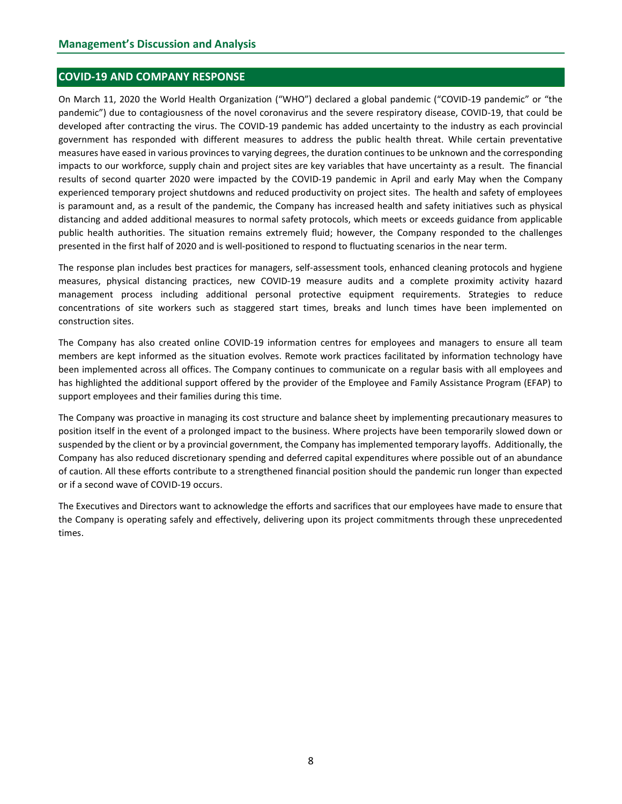## COVID-19 AND COMPANY RESPONSE

On March 11, 2020 the World Health Organization ("WHO") declared a global pandemic ("COVID-19 pandemic" or "the pandemic") due to contagiousness of the novel coronavirus and the severe respiratory disease, COVID-19, that could be developed after contracting the virus. The COVID-19 pandemic has added uncertainty to the industry as each provincial government has responded with different measures to address the public health threat. While certain preventative measures have eased in various provinces to varying degrees, the duration continues to be unknown and the corresponding impacts to our workforce, supply chain and project sites are key variables that have uncertainty as a result. The financial results of second quarter 2020 were impacted by the COVID-19 pandemic in April and early May when the Company experienced temporary project shutdowns and reduced productivity on project sites. The health and safety of employees is paramount and, as a result of the pandemic, the Company has increased health and safety initiatives such as physical distancing and added additional measures to normal safety protocols, which meets or exceeds guidance from applicable public health authorities. The situation remains extremely fluid; however, the Company responded to the challenges presented in the first half of 2020 and is well-positioned to respond to fluctuating scenarios in the near term.

The response plan includes best practices for managers, self-assessment tools, enhanced cleaning protocols and hygiene measures, physical distancing practices, new COVID-19 measure audits and a complete proximity activity hazard management process including additional personal protective equipment requirements. Strategies to reduce concentrations of site workers such as staggered start times, breaks and lunch times have been implemented on construction sites.

The Company has also created online COVID-19 information centres for employees and managers to ensure all team members are kept informed as the situation evolves. Remote work practices facilitated by information technology have been implemented across all offices. The Company continues to communicate on a regular basis with all employees and has highlighted the additional support offered by the provider of the Employee and Family Assistance Program (EFAP) to support employees and their families during this time.

The Company was proactive in managing its cost structure and balance sheet by implementing precautionary measures to position itself in the event of a prolonged impact to the business. Where projects have been temporarily slowed down or suspended by the client or by a provincial government, the Company has implemented temporary layoffs. Additionally, the Company has also reduced discretionary spending and deferred capital expenditures where possible out of an abundance of caution. All these efforts contribute to a strengthened financial position should the pandemic run longer than expected or if a second wave of COVID-19 occurs.

The Executives and Directors want to acknowledge the efforts and sacrifices that our employees have made to ensure that the Company is operating safely and effectively, delivering upon its project commitments through these unprecedented times.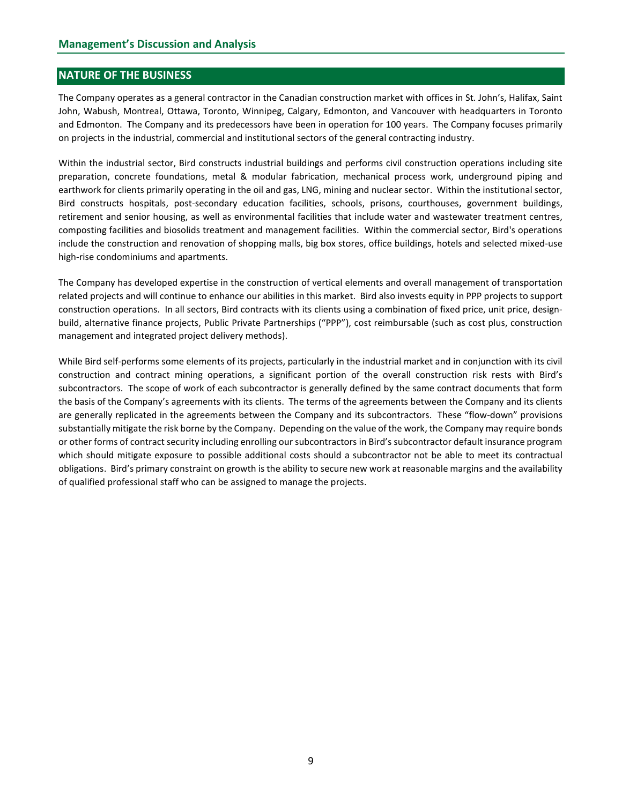## NATURE OF THE BUSINESS

The Company operates as a general contractor in the Canadian construction market with offices in St. John's, Halifax, Saint John, Wabush, Montreal, Ottawa, Toronto, Winnipeg, Calgary, Edmonton, and Vancouver with headquarters in Toronto and Edmonton. The Company and its predecessors have been in operation for 100 years. The Company focuses primarily on projects in the industrial, commercial and institutional sectors of the general contracting industry.

Within the industrial sector, Bird constructs industrial buildings and performs civil construction operations including site preparation, concrete foundations, metal & modular fabrication, mechanical process work, underground piping and earthwork for clients primarily operating in the oil and gas, LNG, mining and nuclear sector. Within the institutional sector, Bird constructs hospitals, post-secondary education facilities, schools, prisons, courthouses, government buildings, retirement and senior housing, as well as environmental facilities that include water and wastewater treatment centres, composting facilities and biosolids treatment and management facilities. Within the commercial sector, Bird's operations include the construction and renovation of shopping malls, big box stores, office buildings, hotels and selected mixed-use high-rise condominiums and apartments.

The Company has developed expertise in the construction of vertical elements and overall management of transportation related projects and will continue to enhance our abilities in this market. Bird also invests equity in PPP projects to support construction operations. In all sectors, Bird contracts with its clients using a combination of fixed price, unit price, designbuild, alternative finance projects, Public Private Partnerships ("PPP"), cost reimbursable (such as cost plus, construction management and integrated project delivery methods).

While Bird self-performs some elements of its projects, particularly in the industrial market and in conjunction with its civil construction and contract mining operations, a significant portion of the overall construction risk rests with Bird's subcontractors. The scope of work of each subcontractor is generally defined by the same contract documents that form the basis of the Company's agreements with its clients. The terms of the agreements between the Company and its clients are generally replicated in the agreements between the Company and its subcontractors. These "flow-down" provisions substantially mitigate the risk borne by the Company. Depending on the value of the work, the Company may require bonds or other forms of contract security including enrolling our subcontractors in Bird's subcontractor default insurance program which should mitigate exposure to possible additional costs should a subcontractor not be able to meet its contractual obligations. Bird's primary constraint on growth is the ability to secure new work at reasonable margins and the availability of qualified professional staff who can be assigned to manage the projects.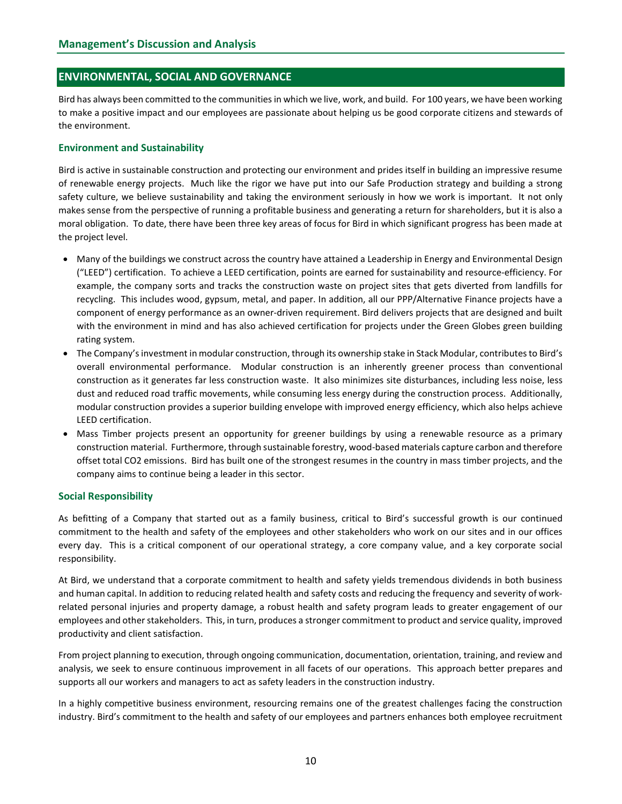## ENVIRONMENTAL, SOCIAL AND GOVERNANCE

Bird has always been committed to the communities in which we live, work, and build. For 100 years, we have been working to make a positive impact and our employees are passionate about helping us be good corporate citizens and stewards of the environment.

#### Environment and Sustainability

Bird is active in sustainable construction and protecting our environment and prides itself in building an impressive resume of renewable energy projects. Much like the rigor we have put into our Safe Production strategy and building a strong safety culture, we believe sustainability and taking the environment seriously in how we work is important. It not only makes sense from the perspective of running a profitable business and generating a return for shareholders, but it is also a moral obligation. To date, there have been three key areas of focus for Bird in which significant progress has been made at the project level.

- Many of the buildings we construct across the country have attained a Leadership in Energy and Environmental Design ("LEED") certification. To achieve a LEED certification, points are earned for sustainability and resource-efficiency. For example, the company sorts and tracks the construction waste on project sites that gets diverted from landfills for recycling. This includes wood, gypsum, metal, and paper. In addition, all our PPP/Alternative Finance projects have a component of energy performance as an owner-driven requirement. Bird delivers projects that are designed and built with the environment in mind and has also achieved certification for projects under the Green Globes green building rating system.
- The Company's investment in modular construction, through its ownership stake in Stack Modular, contributes to Bird's overall environmental performance. Modular construction is an inherently greener process than conventional construction as it generates far less construction waste. It also minimizes site disturbances, including less noise, less dust and reduced road traffic movements, while consuming less energy during the construction process. Additionally, modular construction provides a superior building envelope with improved energy efficiency, which also helps achieve LEED certification.
- Mass Timber projects present an opportunity for greener buildings by using a renewable resource as a primary construction material. Furthermore, through sustainable forestry, wood-based materials capture carbon and therefore offset total CO2 emissions. Bird has built one of the strongest resumes in the country in mass timber projects, and the company aims to continue being a leader in this sector.

### Social Responsibility

As befitting of a Company that started out as a family business, critical to Bird's successful growth is our continued commitment to the health and safety of the employees and other stakeholders who work on our sites and in our offices every day. This is a critical component of our operational strategy, a core company value, and a key corporate social responsibility.

At Bird, we understand that a corporate commitment to health and safety yields tremendous dividends in both business and human capital. In addition to reducing related health and safety costs and reducing the frequency and severity of workrelated personal injuries and property damage, a robust health and safety program leads to greater engagement of our employees and other stakeholders. This, in turn, produces a stronger commitment to product and service quality, improved productivity and client satisfaction.

From project planning to execution, through ongoing communication, documentation, orientation, training, and review and analysis, we seek to ensure continuous improvement in all facets of our operations. This approach better prepares and supports all our workers and managers to act as safety leaders in the construction industry.

In a highly competitive business environment, resourcing remains one of the greatest challenges facing the construction industry. Bird's commitment to the health and safety of our employees and partners enhances both employee recruitment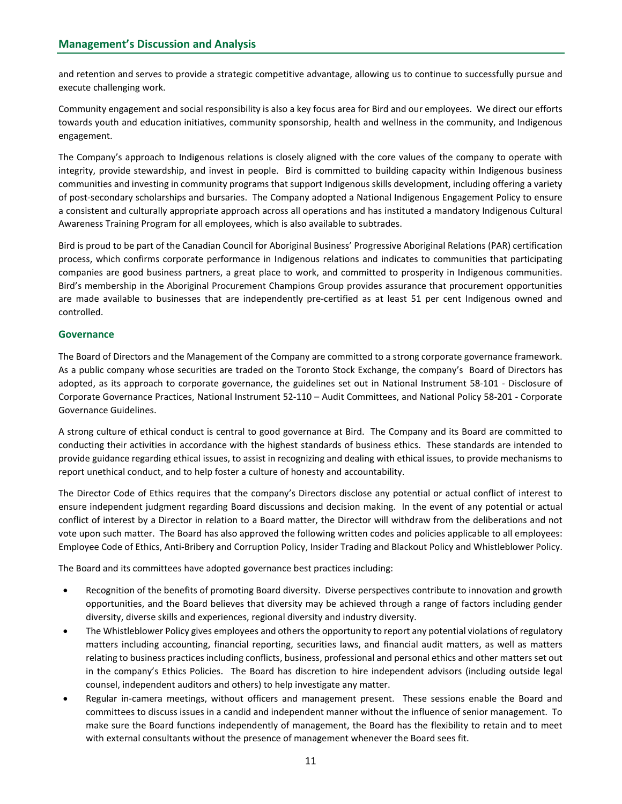and retention and serves to provide a strategic competitive advantage, allowing us to continue to successfully pursue and execute challenging work.

Community engagement and social responsibility is also a key focus area for Bird and our employees. We direct our efforts towards youth and education initiatives, community sponsorship, health and wellness in the community, and Indigenous engagement.

The Company's approach to Indigenous relations is closely aligned with the core values of the company to operate with integrity, provide stewardship, and invest in people. Bird is committed to building capacity within Indigenous business communities and investing in community programs that support Indigenous skills development, including offering a variety of post-secondary scholarships and bursaries. The Company adopted a National Indigenous Engagement Policy to ensure a consistent and culturally appropriate approach across all operations and has instituted a mandatory Indigenous Cultural Awareness Training Program for all employees, which is also available to subtrades.

Bird is proud to be part of the Canadian Council for Aboriginal Business' Progressive Aboriginal Relations (PAR) certification process, which confirms corporate performance in Indigenous relations and indicates to communities that participating companies are good business partners, a great place to work, and committed to prosperity in Indigenous communities. Bird's membership in the Aboriginal Procurement Champions Group provides assurance that procurement opportunities are made available to businesses that are independently pre-certified as at least 51 per cent Indigenous owned and controlled.

## **Governance**

The Board of Directors and the Management of the Company are committed to a strong corporate governance framework. As a public company whose securities are traded on the Toronto Stock Exchange, the company's Board of Directors has adopted, as its approach to corporate governance, the guidelines set out in National Instrument 58-101 - Disclosure of Corporate Governance Practices, National Instrument 52-110 – Audit Committees, and National Policy 58-201 - Corporate Governance Guidelines.

A strong culture of ethical conduct is central to good governance at Bird. The Company and its Board are committed to conducting their activities in accordance with the highest standards of business ethics. These standards are intended to provide guidance regarding ethical issues, to assist in recognizing and dealing with ethical issues, to provide mechanisms to report unethical conduct, and to help foster a culture of honesty and accountability.

The Director Code of Ethics requires that the company's Directors disclose any potential or actual conflict of interest to ensure independent judgment regarding Board discussions and decision making. In the event of any potential or actual conflict of interest by a Director in relation to a Board matter, the Director will withdraw from the deliberations and not vote upon such matter. The Board has also approved the following written codes and policies applicable to all employees: Employee Code of Ethics, Anti-Bribery and Corruption Policy, Insider Trading and Blackout Policy and Whistleblower Policy.

The Board and its committees have adopted governance best practices including:

- Recognition of the benefits of promoting Board diversity. Diverse perspectives contribute to innovation and growth opportunities, and the Board believes that diversity may be achieved through a range of factors including gender diversity, diverse skills and experiences, regional diversity and industry diversity.
- The Whistleblower Policy gives employees and others the opportunity to report any potential violations of regulatory matters including accounting, financial reporting, securities laws, and financial audit matters, as well as matters relating to business practices including conflicts, business, professional and personal ethics and other matters set out in the company's Ethics Policies. The Board has discretion to hire independent advisors (including outside legal counsel, independent auditors and others) to help investigate any matter.
- Regular in-camera meetings, without officers and management present. These sessions enable the Board and committees to discuss issues in a candid and independent manner without the influence of senior management. To make sure the Board functions independently of management, the Board has the flexibility to retain and to meet with external consultants without the presence of management whenever the Board sees fit.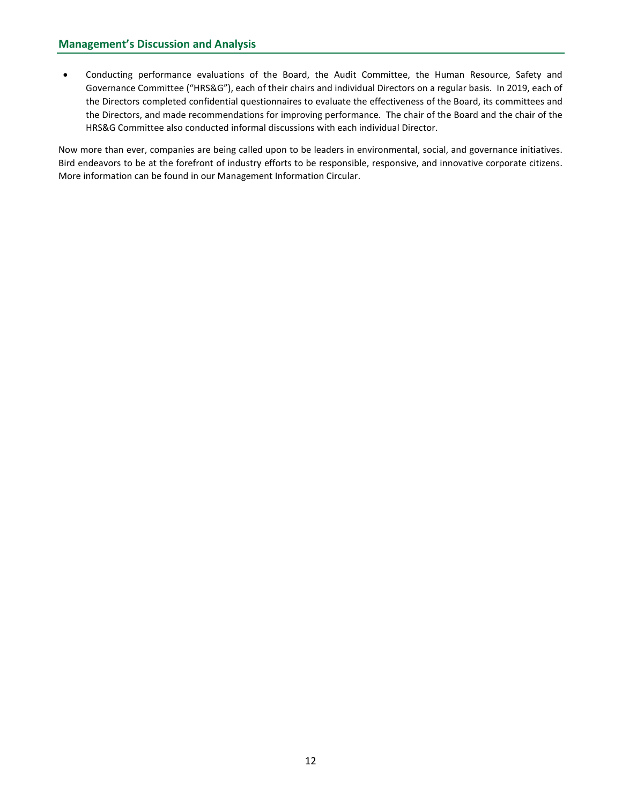Conducting performance evaluations of the Board, the Audit Committee, the Human Resource, Safety and Governance Committee ("HRS&G"), each of their chairs and individual Directors on a regular basis. In 2019, each of the Directors completed confidential questionnaires to evaluate the effectiveness of the Board, its committees and the Directors, and made recommendations for improving performance. The chair of the Board and the chair of the HRS&G Committee also conducted informal discussions with each individual Director.

Now more than ever, companies are being called upon to be leaders in environmental, social, and governance initiatives. Bird endeavors to be at the forefront of industry efforts to be responsible, responsive, and innovative corporate citizens. More information can be found in our Management Information Circular.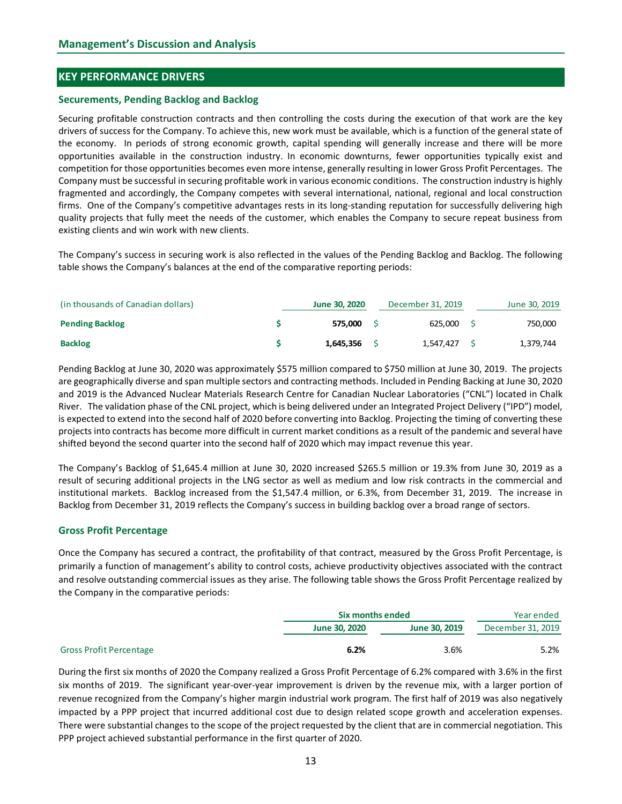## KEY PERFORMANCE DRIVERS

#### Securements, Pending Backlog and Backlog

Securing profitable construction contracts and then controlling the costs during the execution of that work are the key drivers of success for the Company. To achieve this, new work must be available, which is a function of the general state of the economy. In periods of strong economic growth, capital spending will generally increase and there will be more opportunities available in the construction industry. In economic downturns, fewer opportunities typically exist and competition for those opportunities becomes even more intense, generally resulting in lower Gross Profit Percentages. The Company must be successful in securing profitable work in various economic conditions. The construction industry is highly fragmented and accordingly, the Company competes with several international, national, regional and local construction firms. One of the Company's competitive advantages rests in its long-standing reputation for successfully delivering high quality projects that fully meet the needs of the customer, which enables the Company to secure repeat business from existing clients and win work with new clients. EVEY PERFORMANCE DRIVERS<br>
Securements, Pending Backlog and Backlog<br>
Securements, Pending Backlog and Backlog<br>
Securements, production contrasts and then controlling the costs during the execution of that work are the key<br> Becurements, Pending Backlog and Backlog<br>
Becuring profitable construction contracts and then controlling the costs during the securiton of that work are the key<br>
Britisms of success for the Company. To achieve this, new

The Company's success in securing work is also reflected in the values of the Pending Backlog and Backlog. The following table shows the Company's balances at the end of the comparative reporting periods:

| (in thousands of Canadian dollars) | June 30, 2020 | December 31, 2019 | June 30, 2019 |
|------------------------------------|---------------|-------------------|---------------|
| <b>Pending Backlog</b>             | 575.000       | 625,000           | 750,000       |
| <b>Backlog</b>                     | L,645,356     | 1,547,427         | 1,379,744     |

Pending Backlog at June 30, 2020 was approximately \$575 million compared to \$750 million at June 30, 2019. The projects are geographically diverse and span multiple sectors and contracting methods. Included in Pending Backing at June 30, 2020 and 2019 is the Advanced Nuclear Materials Research Centre for Canadian Nuclear Laboratories ("CNL") located in Chalk River. The validation phase of the CNL project, which is being delivered under an Integrated Project Delivery ("IPD") model, is expected to extend into the second half of 2020 before converting into Backlog. Projecting the timing of converting these projects into contracts has become more difficult in current market conditions as a result of the pandemic and several have shifted beyond the second quarter into the second half of 2020 which may impact revenue this year.

The Company's Backlog of \$1,645.4 million at June 30, 2020 increased \$265.5 million or 19.3% from June 30, 2019 as a result of securing additional projects in the LNG sector as well as medium and low risk contracts in the commercial and institutional markets. Backlog increased from the \$1,547.4 million, or 6.3%, from December 31, 2019. The increase in Backlog from December 31, 2019 reflects the Company's success in building backlog over a broad range of sectors.

### Gross Profit Percentage

Once the Company has secured a contract, the profitability of that contract, measured by the Gross Profit Percentage, is primarily a function of management's ability to control costs, achieve productivity objectives associated with the contract and resolve outstanding commercial issues as they arise. The following table shows the Gross Profit Percentage realized by the Company in the comparative periods:

|                                |               | Six months ended |                   |  |
|--------------------------------|---------------|------------------|-------------------|--|
|                                | June 30, 2020 | June 30, 2019    | December 31, 2019 |  |
| <b>Gross Profit Percentage</b> | 6.2%          | 3.6%             | 5.2%              |  |

and zous be the wave the trace material season. The results are the course of the state of the state of the state of the state of the state of the state of the state of the state of the state of the state of the state of t During the first six months of 2020 the Company realized a Gross Profit Percentage of 6.2% compared with 3.6% in the first six months of 2019. The significant year-over-year improvement is driven by the revenue mix, with a larger portion of revenue recognized from the Company's higher margin industrial work program. The first half of 2019 was also negatively impacted by a PPP project that incurred additional cost due to design related scope growth and acceleration expenses. There were substantial changes to the scope of the project requested by the client that are in commercial negotiation. This PPP project achieved substantial performance in the first quarter of 2020.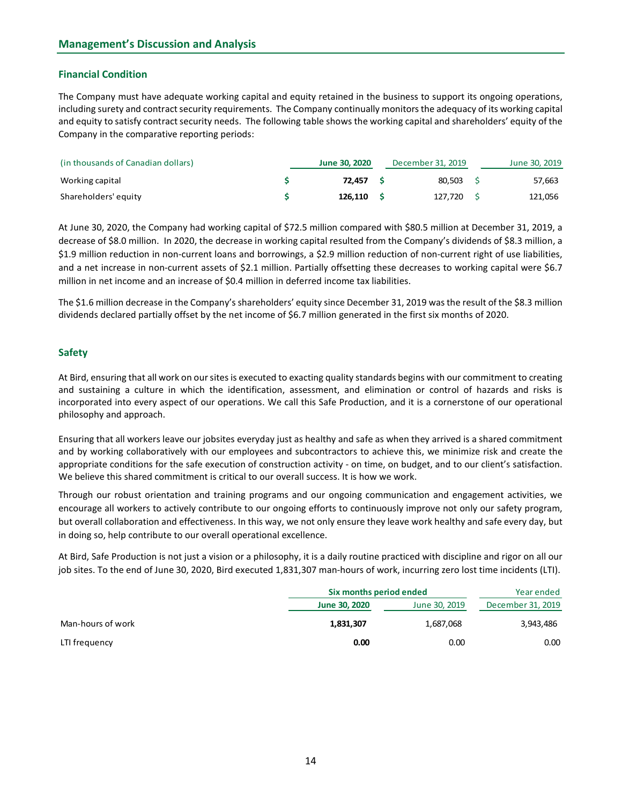# Financial Condition

The Company must have adequate working capital and equity retained in the business to support its ongoing operations, including surety and contract security requirements. The Company continually monitors the adequacy of its working capital and equity to satisfy contract security needs. The following table shows the working capital and shareholders' equity of the Company in the comparative reporting periods:

| (in thousands of Canadian dollars) | June 30, 2020 |         |  | December 31, 2019 | June 30, 2019 |  |  |
|------------------------------------|---------------|---------|--|-------------------|---------------|--|--|
| Working capital                    |               | 72.457  |  | 80.503            | 57,663        |  |  |
| Shareholders' equity               |               | 126.110 |  | 127.720           | 121,056       |  |  |

At June 30, 2020, the Company had working capital of \$72.5 million compared with \$80.5 million at December 31, 2019, a decrease of \$8.0 million. In 2020, the decrease in working capital resulted from the Company's dividends of \$8.3 million, a \$1.9 million reduction in non-current loans and borrowings, a \$2.9 million reduction of non-current right of use liabilities, and a net increase in non-current assets of \$2.1 million. Partially offsetting these decreases to working capital were \$6.7 million in net income and an increase of \$0.4 million in deferred income tax liabilities.

The \$1.6 million decrease in the Company's shareholders' equity since December 31, 2019 was the result of the \$8.3 million dividends declared partially offset by the net income of \$6.7 million generated in the first six months of 2020.

## Safety

At Bird, ensuring that all work on our sites is executed to exacting quality standards begins with our commitment to creating and sustaining a culture in which the identification, assessment, and elimination or control of hazards and risks is incorporated into every aspect of our operations. We call this Safe Production, and it is a cornerstone of our operational philosophy and approach.

| Ensuring that all workers leave our jobsites everyday just as healthy and safe as when they arrived is a shared commitment<br>and by working collaboratively with our employees and subcontractors to achieve this, we minimize risk and create the                                                                                                                                                                                                                                                                                                                                                                                                                                                                        |
|----------------------------------------------------------------------------------------------------------------------------------------------------------------------------------------------------------------------------------------------------------------------------------------------------------------------------------------------------------------------------------------------------------------------------------------------------------------------------------------------------------------------------------------------------------------------------------------------------------------------------------------------------------------------------------------------------------------------------|
| appropriate conditions for the safe execution of construction activity - on time, on budget, and to our client's satisfaction.<br>We believe this shared commitment is critical to our overall success. It is how we work.                                                                                                                                                                                                                                                                                                                                                                                                                                                                                                 |
| Through our robust orientation and training programs and our ongoing communication and engagement activities, we<br>encourage all workers to actively contribute to our ongoing efforts to continuously improve not only our safety program,<br>but overall collaboration and effectiveness. In this way, we not only ensure they leave work healthy and safe every day, but<br>in doing so, help contribute to our overall operational excellence.<br>At Bird, Safe Production is not just a vision or a philosophy, it is a daily routine practiced with discipline and rigor on all our<br>job sites. To the end of June 30, 2020, Bird executed 1,831,307 man-hours of work, incurring zero lost time incidents (LTI). |
| Six months period ended<br>Year ended                                                                                                                                                                                                                                                                                                                                                                                                                                                                                                                                                                                                                                                                                      |
| December 31, 2019<br>June 30, 2020<br>June 30, 2019                                                                                                                                                                                                                                                                                                                                                                                                                                                                                                                                                                                                                                                                        |
| Man-hours of work<br>1,831,307<br>1,687,068<br>3,943,486                                                                                                                                                                                                                                                                                                                                                                                                                                                                                                                                                                                                                                                                   |
| 0.00<br>0.00<br>0.00<br>LTI frequency                                                                                                                                                                                                                                                                                                                                                                                                                                                                                                                                                                                                                                                                                      |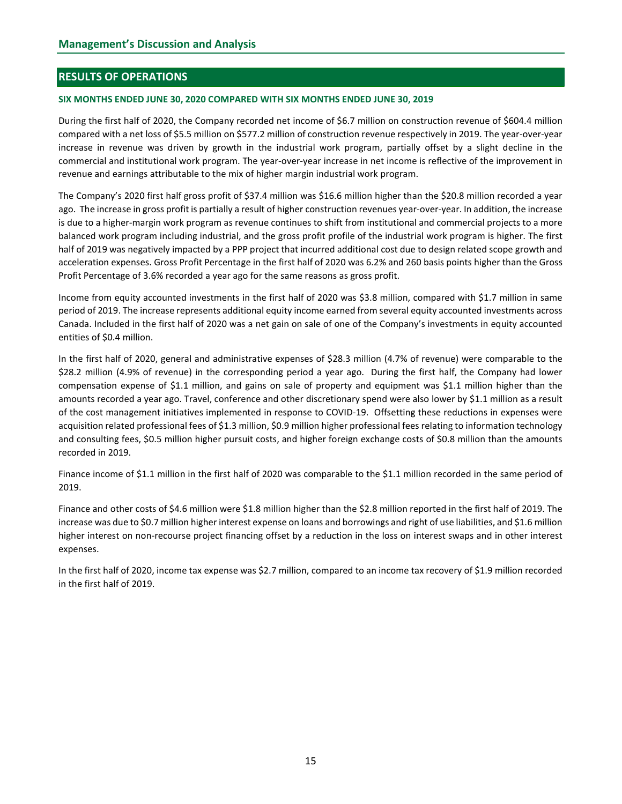# RESULTS OF OPERATIONS

#### SIX MONTHS ENDED JUNE 30, 2020 COMPARED WITH SIX MONTHS ENDED JUNE 30, 2019

During the first half of 2020, the Company recorded net income of \$6.7 million on construction revenue of \$604.4 million compared with a net loss of \$5.5 million on \$577.2 million of construction revenue respectively in 2019. The year-over-year increase in revenue was driven by growth in the industrial work program, partially offset by a slight decline in the commercial and institutional work program. The year-over-year increase in net income is reflective of the improvement in revenue and earnings attributable to the mix of higher margin industrial work program.

The Company's 2020 first half gross profit of \$37.4 million was \$16.6 million higher than the \$20.8 million recorded a year ago. The increase in gross profit is partially a result of higher construction revenues year-over-year. In addition, the increase is due to a higher-margin work program as revenue continues to shift from institutional and commercial projects to a more balanced work program including industrial, and the gross profit profile of the industrial work program is higher. The first half of 2019 was negatively impacted by a PPP project that incurred additional cost due to design related scope growth and acceleration expenses. Gross Profit Percentage in the first half of 2020 was 6.2% and 260 basis points higher than the Gross Profit Percentage of 3.6% recorded a year ago for the same reasons as gross profit.

Income from equity accounted investments in the first half of 2020 was \$3.8 million, compared with \$1.7 million in same period of 2019. The increase represents additional equity income earned from several equity accounted investments across Canada. Included in the first half of 2020 was a net gain on sale of one of the Company's investments in equity accounted entities of \$0.4 million.

In the first half of 2020, general and administrative expenses of \$28.3 million (4.7% of revenue) were comparable to the \$28.2 million (4.9% of revenue) in the corresponding period a year ago. During the first half, the Company had lower compensation expense of \$1.1 million, and gains on sale of property and equipment was \$1.1 million higher than the amounts recorded a year ago. Travel, conference and other discretionary spend were also lower by \$1.1 million as a result of the cost management initiatives implemented in response to COVID-19. Offsetting these reductions in expenses were acquisition related professional fees of \$1.3 million, \$0.9 million higher professional fees relating to information technology and consulting fees, \$0.5 million higher pursuit costs, and higher foreign exchange costs of \$0.8 million than the amounts recorded in 2019.

Finance income of \$1.1 million in the first half of 2020 was comparable to the \$1.1 million recorded in the same period of 2019.

Finance and other costs of \$4.6 million were \$1.8 million higher than the \$2.8 million reported in the first half of 2019. The increase was due to \$0.7 million higher interest expense on loans and borrowings and right of use liabilities, and \$1.6 million higher interest on non-recourse project financing offset by a reduction in the loss on interest swaps and in other interest expenses.

In the first half of 2020, income tax expense was \$2.7 million, compared to an income tax recovery of \$1.9 million recorded in the first half of 2019.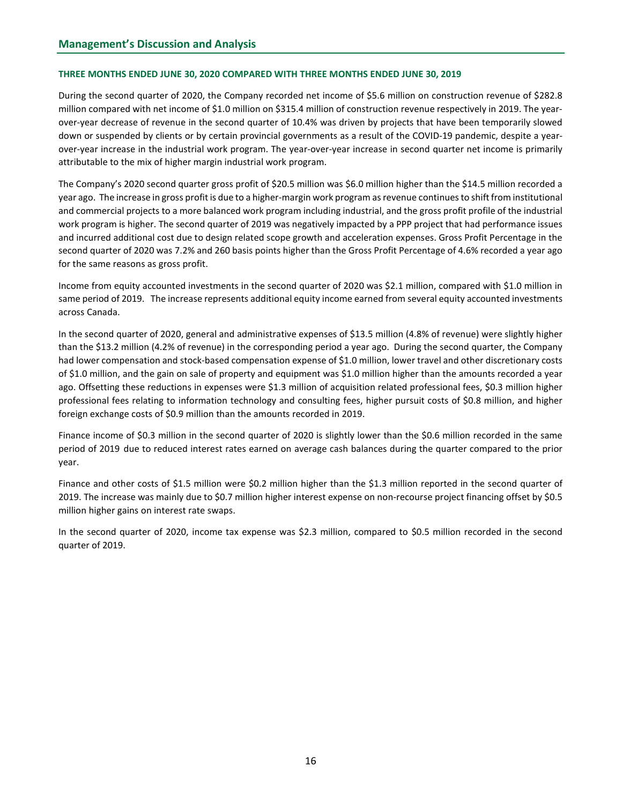#### THREE MONTHS ENDED JUNE 30, 2020 COMPARED WITH THREE MONTHS ENDED JUNE 30, 2019

During the second quarter of 2020, the Company recorded net income of \$5.6 million on construction revenue of \$282.8 million compared with net income of \$1.0 million on \$315.4 million of construction revenue respectively in 2019. The yearover-year decrease of revenue in the second quarter of 10.4% was driven by projects that have been temporarily slowed down or suspended by clients or by certain provincial governments as a result of the COVID-19 pandemic, despite a yearover-year increase in the industrial work program. The year-over-year increase in second quarter net income is primarily attributable to the mix of higher margin industrial work program.

The Company's 2020 second quarter gross profit of \$20.5 million was \$6.0 million higher than the \$14.5 million recorded a year ago. The increase in gross profit is due to a higher-margin work program as revenue continues to shift from institutional and commercial projects to a more balanced work program including industrial, and the gross profit profile of the industrial work program is higher. The second quarter of 2019 was negatively impacted by a PPP project that had performance issues and incurred additional cost due to design related scope growth and acceleration expenses. Gross Profit Percentage in the second quarter of 2020 was 7.2% and 260 basis points higher than the Gross Profit Percentage of 4.6% recorded a year ago for the same reasons as gross profit.

Income from equity accounted investments in the second quarter of 2020 was \$2.1 million, compared with \$1.0 million in same period of 2019. The increase represents additional equity income earned from several equity accounted investments across Canada.

In the second quarter of 2020, general and administrative expenses of \$13.5 million (4.8% of revenue) were slightly higher than the \$13.2 million (4.2% of revenue) in the corresponding period a year ago. During the second quarter, the Company had lower compensation and stock-based compensation expense of \$1.0 million, lower travel and other discretionary costs of \$1.0 million, and the gain on sale of property and equipment was \$1.0 million higher than the amounts recorded a year ago. Offsetting these reductions in expenses were \$1.3 million of acquisition related professional fees, \$0.3 million higher professional fees relating to information technology and consulting fees, higher pursuit costs of \$0.8 million, and higher foreign exchange costs of \$0.9 million than the amounts recorded in 2019.

Finance income of \$0.3 million in the second quarter of 2020 is slightly lower than the \$0.6 million recorded in the same period of 2019 due to reduced interest rates earned on average cash balances during the quarter compared to the prior year.

Finance and other costs of \$1.5 million were \$0.2 million higher than the \$1.3 million reported in the second quarter of 2019. The increase was mainly due to \$0.7 million higher interest expense on non-recourse project financing offset by \$0.5 million higher gains on interest rate swaps.

In the second quarter of 2020, income tax expense was \$2.3 million, compared to \$0.5 million recorded in the second quarter of 2019.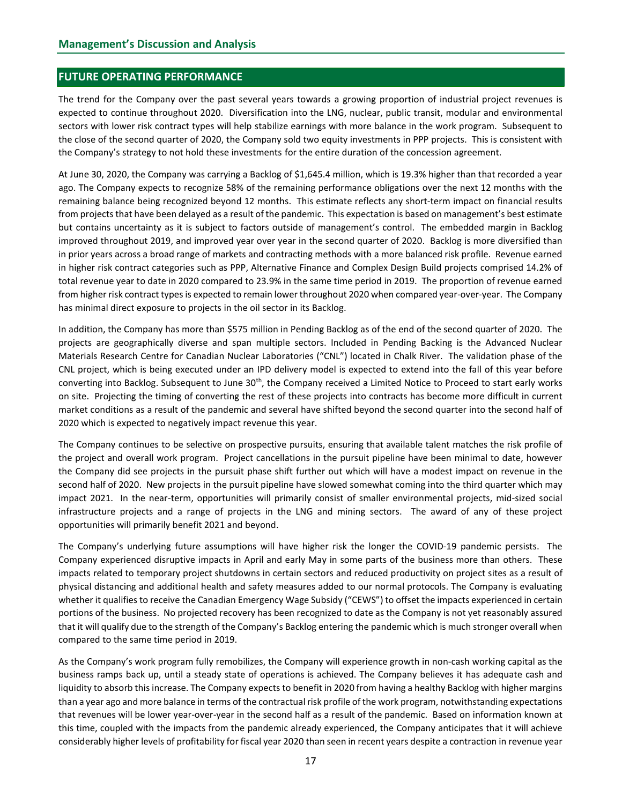## FUTURE OPERATING PERFORMANCE

The trend for the Company over the past several years towards a growing proportion of industrial project revenues is expected to continue throughout 2020. Diversification into the LNG, nuclear, public transit, modular and environmental sectors with lower risk contract types will help stabilize earnings with more balance in the work program. Subsequent to the close of the second quarter of 2020, the Company sold two equity investments in PPP projects. This is consistent with the Company's strategy to not hold these investments for the entire duration of the concession agreement.

At June 30, 2020, the Company was carrying a Backlog of \$1,645.4 million, which is 19.3% higher than that recorded a year ago. The Company expects to recognize 58% of the remaining performance obligations over the next 12 months with the remaining balance being recognized beyond 12 months. This estimate reflects any short-term impact on financial results from projects that have been delayed as a result of the pandemic. This expectation is based on management's best estimate but contains uncertainty as it is subject to factors outside of management's control. The embedded margin in Backlog improved throughout 2019, and improved year over year in the second quarter of 2020. Backlog is more diversified than in prior years across a broad range of markets and contracting methods with a more balanced risk profile. Revenue earned in higher risk contract categories such as PPP, Alternative Finance and Complex Design Build projects comprised 14.2% of total revenue year to date in 2020 compared to 23.9% in the same time period in 2019. The proportion of revenue earned from higher risk contract types is expected to remain lower throughout 2020 when compared year-over-year. The Company has minimal direct exposure to projects in the oil sector in its Backlog.

In addition, the Company has more than \$575 million in Pending Backlog as of the end of the second quarter of 2020. The projects are geographically diverse and span multiple sectors. Included in Pending Backing is the Advanced Nuclear Materials Research Centre for Canadian Nuclear Laboratories ("CNL") located in Chalk River. The validation phase of the CNL project, which is being executed under an IPD delivery model is expected to extend into the fall of this year before converting into Backlog. Subsequent to June  $30<sup>th</sup>$ , the Company received a Limited Notice to Proceed to start early works on site. Projecting the timing of converting the rest of these projects into contracts has become more difficult in current market conditions as a result of the pandemic and several have shifted beyond the second quarter into the second half of 2020 which is expected to negatively impact revenue this year.

The Company continues to be selective on prospective pursuits, ensuring that available talent matches the risk profile of the project and overall work program. Project cancellations in the pursuit pipeline have been minimal to date, however the Company did see projects in the pursuit phase shift further out which will have a modest impact on revenue in the second half of 2020. New projects in the pursuit pipeline have slowed somewhat coming into the third quarter which may impact 2021. In the near-term, opportunities will primarily consist of smaller environmental projects, mid-sized social infrastructure projects and a range of projects in the LNG and mining sectors. The award of any of these project opportunities will primarily benefit 2021 and beyond.

The Company's underlying future assumptions will have higher risk the longer the COVID-19 pandemic persists. The Company experienced disruptive impacts in April and early May in some parts of the business more than others. These impacts related to temporary project shutdowns in certain sectors and reduced productivity on project sites as a result of physical distancing and additional health and safety measures added to our normal protocols. The Company is evaluating whether it qualifies to receive the Canadian Emergency Wage Subsidy ("CEWS") to offset the impacts experienced in certain portions of the business. No projected recovery has been recognized to date as the Company is not yet reasonably assured that it will qualify due to the strength of the Company's Backlog entering the pandemic which is much stronger overall when compared to the same time period in 2019.

As the Company's work program fully remobilizes, the Company will experience growth in non-cash working capital as the business ramps back up, until a steady state of operations is achieved. The Company believes it has adequate cash and liquidity to absorb this increase. The Company expects to benefit in 2020 from having a healthy Backlog with higher margins than a year ago and more balance in terms of the contractual risk profile of the work program, notwithstanding expectations that revenues will be lower year-over-year in the second half as a result of the pandemic. Based on information known at this time, coupled with the impacts from the pandemic already experienced, the Company anticipates that it will achieve considerably higher levels of profitability for fiscal year 2020 than seen in recent years despite a contraction in revenue year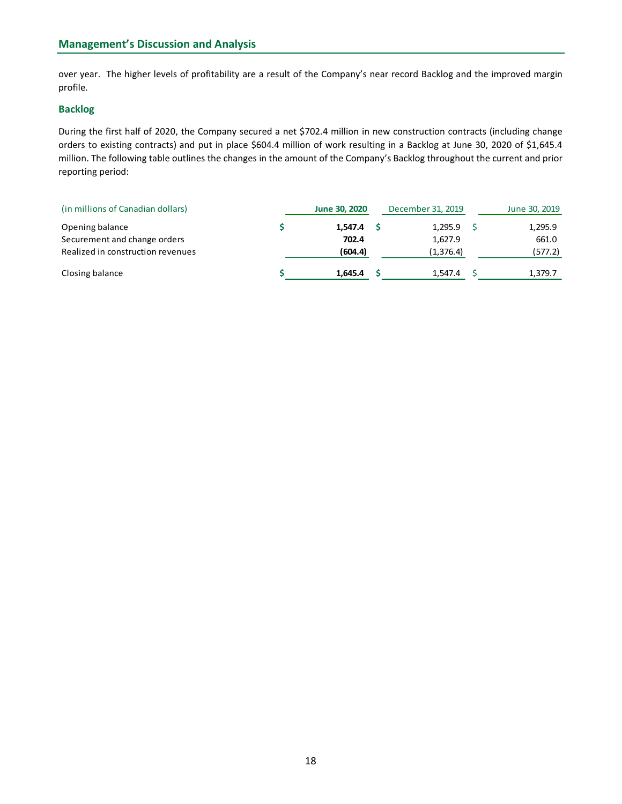over year. The higher levels of profitability are a result of the Company's near record Backlog and the improved margin profile.

## Backlog

During the first half of 2020, the Company secured a net \$702.4 million in new construction contracts (including change orders to existing contracts) and put in place \$604.4 million of work resulting in a Backlog at June 30, 2020 of \$1,645.4 million. The following table outlines the changes in the amount of the Company's Backlog throughout the current and prior reporting period:

| (in millions of Canadian dollars) | June 30, 2020 | December 31, 2019 | June 30, 2019 |
|-----------------------------------|---------------|-------------------|---------------|
| Opening balance                   | 1,547.4       | 1,295.9           | 1,295.9       |
| Securement and change orders      | 702.4         | 1,627.9           | 661.0         |
| Realized in construction revenues | (604.4)       | (1,376.4)         | (577.2)       |
| Closing balance                   | 1.645.4       | 1,547.4           | 1,379.7       |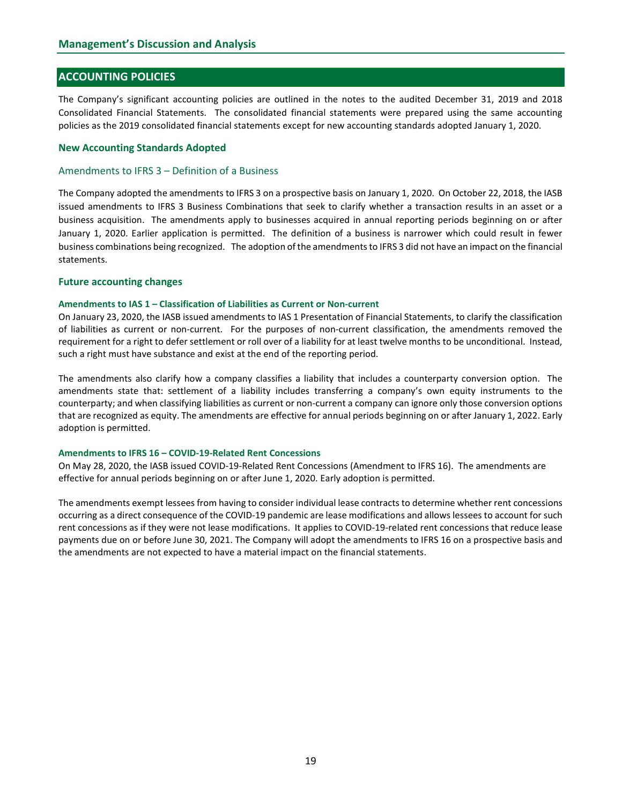# ACCOUNTING POLICIES

The Company's significant accounting policies are outlined in the notes to the audited December 31, 2019 and 2018 Consolidated Financial Statements. The consolidated financial statements were prepared using the same accounting policies as the 2019 consolidated financial statements except for new accounting standards adopted January 1, 2020.

#### New Accounting Standards Adopted

#### Amendments to IFRS 3 – Definition of a Business

The Company adopted the amendments to IFRS 3 on a prospective basis on January 1, 2020. On October 22, 2018, the IASB issued amendments to IFRS 3 Business Combinations that seek to clarify whether a transaction results in an asset or a business acquisition. The amendments apply to businesses acquired in annual reporting periods beginning on or after January 1, 2020. Earlier application is permitted. The definition of a business is narrower which could result in fewer business combinations being recognized. The adoption of the amendments to IFRS 3 did not have an impact on the financial statements.

#### Future accounting changes

#### Amendments to IAS 1 – Classification of Liabilities as Current or Non-current

On January 23, 2020, the IASB issued amendments to IAS 1 Presentation of Financial Statements, to clarify the classification of liabilities as current or non-current. For the purposes of non-current classification, the amendments removed the requirement for a right to defer settlement or roll over of a liability for at least twelve months to be unconditional. Instead, such a right must have substance and exist at the end of the reporting period.

The amendments also clarify how a company classifies a liability that includes a counterparty conversion option. The amendments state that: settlement of a liability includes transferring a company's own equity instruments to the counterparty; and when classifying liabilities as current or non-current a company can ignore only those conversion options that are recognized as equity. The amendments are effective for annual periods beginning on or after January 1, 2022. Early adoption is permitted.

#### Amendments to IFRS 16 – COVID-19-Related Rent Concessions

On May 28, 2020, the IASB issued COVID-19-Related Rent Concessions (Amendment to IFRS 16). The amendments are effective for annual periods beginning on or after June 1, 2020. Early adoption is permitted.

The amendments exempt lessees from having to consider individual lease contracts to determine whether rent concessions occurring as a direct consequence of the COVID-19 pandemic are lease modifications and allows lessees to account for such rent concessions as if they were not lease modifications. It applies to COVID-19-related rent concessions that reduce lease payments due on or before June 30, 2021. The Company will adopt the amendments to IFRS 16 on a prospective basis and the amendments are not expected to have a material impact on the financial statements.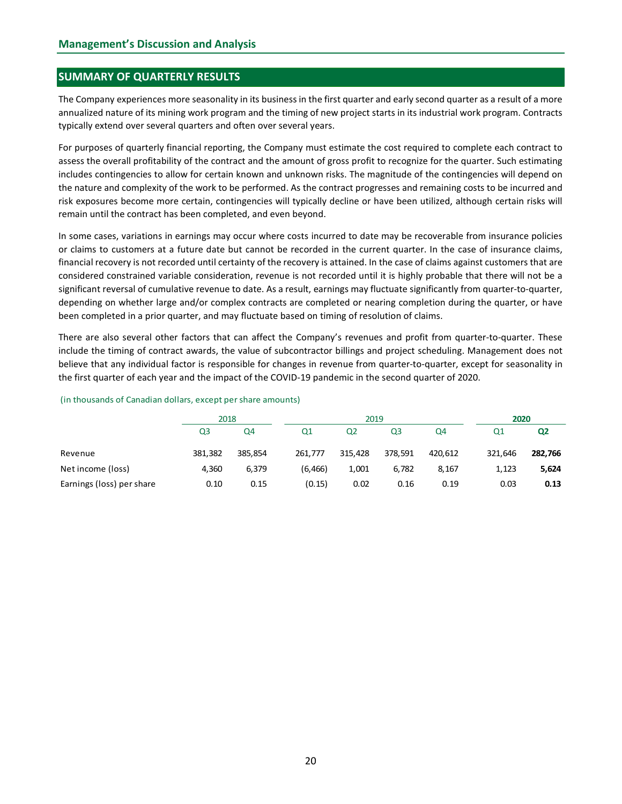# SUMMARY OF QUARTERLY RESULTS

The Company experiences more seasonality in its business in the first quarter and early second quarter as a result of a more annualized nature of its mining work program and the timing of new project starts in its industrial work program. Contracts typically extend over several quarters and often over several years.

For purposes of quarterly financial reporting, the Company must estimate the cost required to complete each contract to assess the overall profitability of the contract and the amount of gross profit to recognize for the quarter. Such estimating includes contingencies to allow for certain known and unknown risks. The magnitude of the contingencies will depend on the nature and complexity of the work to be performed. As the contract progresses and remaining costs to be incurred and risk exposures become more certain, contingencies will typically decline or have been utilized, although certain risks will remain until the contract has been completed, and even beyond.

In some cases, variations in earnings may occur where costs incurred to date may be recoverable from insurance policies or claims to customers at a future date but cannot be recorded in the current quarter. In the case of insurance claims, financial recovery is not recorded until certainty of the recovery is attained. In the case of claims against customers that are considered constrained variable consideration, revenue is not recorded until it is highly probable that there will not be a significant reversal of cumulative revenue to date. As a result, earnings may fluctuate significantly from quarter-to-quarter, depending on whether large and/or complex contracts are completed or nearing completion during the quarter, or have been completed in a prior quarter, and may fluctuate based on timing of resolution of claims. risk exposures become more certain, contingencies will typically decline or have been utilized, although certain risks will<br>eremain until the contract has been completed, and even beyond.<br>
In some cases, variations in ear emain untui the contract has been completed, and even beyon.<br>
In some cases, variations in earnings may occur where costs incurred to date may be recoverable from insurance policies<br>
or claims to customers at a duture dat n some cases, variations in earnings may occur where costs incurred to date may be recoverable from insurance policies<br>or claims to customers at a truture date can chot be recovered in the current quarter. In the case of

There are also several other factors that can affect the Company's revenues and profit from quarter-to-quarter. These include the timing of contract awards, the value of subcontractor billings and project scheduling. Management does not believe that any individual factor is responsible for changes in revenue from quarter-to-quarter, except for seasonality in the first quarter of each year and the impact of the COVID-19 pandemic in the second quarter of 2020.

|                           | 2018           |         |                | 2019           |                |         | 2020           |                |  |  |
|---------------------------|----------------|---------|----------------|----------------|----------------|---------|----------------|----------------|--|--|
|                           | Q <sub>3</sub> | Q4      | Q <sub>1</sub> | Q <sub>2</sub> | Q <sub>3</sub> | Q4      | Q <sub>1</sub> | Q <sub>2</sub> |  |  |
| Revenue                   | 381,382        | 385,854 | 261,777        | 315,428        | 378,591        | 420,612 | 321,646        | 282,766        |  |  |
| Net income (loss)         | 4,360          | 6,379   | (6, 466)       | 1,001          | 6,782          | 8,167   | 1,123          | 5,624          |  |  |
| Earnings (loss) per share | 0.10           | 0.15    | (0.15)         | 0.02           | 0.16           | 0.19    | 0.03           | 0.13           |  |  |

#### (in thousands of Canadian dollars, except per share amounts)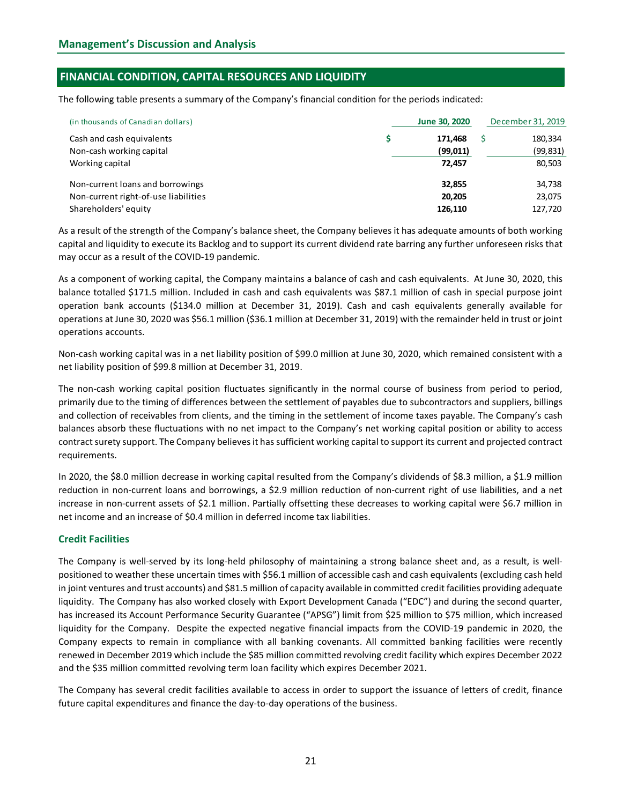# FINANCIAL CONDITION, CAPITAL RESOURCES AND LIQUIDITY

The following table presents a summary of the Company's financial condition for the periods indicated:

| (in thousands of Canadian dollars)   | June 30, 2020 | December 31, 2019 |  |
|--------------------------------------|---------------|-------------------|--|
| Cash and cash equivalents            | 171,468       | 180,334           |  |
| Non-cash working capital             | (99, 011)     | (99, 831)         |  |
| Working capital                      | 72,457        | 80,503            |  |
| Non-current loans and borrowings     | 32,855        | 34,738            |  |
| Non-current right-of-use liabilities | 20,205        | 23,075            |  |
| Shareholders' equity                 | 126,110       | 127,720           |  |

As a result of the strength of the Company's balance sheet, the Company believes it has adequate amounts of both working capital and liquidity to execute its Backlog and to support its current dividend rate barring any further unforeseen risks that may occur as a result of the COVID-19 pandemic.

As a component of working capital, the Company maintains a balance of cash and cash equivalents. At June 30, 2020, this balance totalled \$171.5 million. Included in cash and cash equivalents was \$87.1 million of cash in special purpose joint operation bank accounts (\$134.0 million at December 31, 2019). Cash and cash equivalents generally available for operations at June 30, 2020 was \$56.1 million (\$36.1 million at December 31, 2019) with the remainder held in trust or joint operations accounts.

Non-cash working capital was in a net liability position of \$99.0 million at June 30, 2020, which remained consistent with a net liability position of \$99.8 million at December 31, 2019.

The non-cash working capital position fluctuates significantly in the normal course of business from period to period, primarily due to the timing of differences between the settlement of payables due to subcontractors and suppliers, billings and collection of receivables from clients, and the timing in the settlement of income taxes payable. The Company's cash balances absorb these fluctuations with no net impact to the Company's net working capital position or ability to access contract surety support. The Company believes it has sufficient working capital to support its current and projected contract requirements.

In 2020, the \$8.0 million decrease in working capital resulted from the Company's dividends of \$8.3 million, a \$1.9 million reduction in non-current loans and borrowings, a \$2.9 million reduction of non-current right of use liabilities, and a net increase in non-current assets of \$2.1 million. Partially offsetting these decreases to working capital were \$6.7 million in net income and an increase of \$0.4 million in deferred income tax liabilities.

# Credit Facilities

The Company is well-served by its long-held philosophy of maintaining a strong balance sheet and, as a result, is wellpositioned to weather these uncertain times with \$56.1 million of accessible cash and cash equivalents (excluding cash held in joint ventures and trust accounts) and \$81.5 million of capacity available in committed credit facilities providing adequate liquidity. The Company has also worked closely with Export Development Canada ("EDC") and during the second quarter, has increased its Account Performance Security Guarantee ("APSG") limit from \$25 million to \$75 million, which increased liquidity for the Company. Despite the expected negative financial impacts from the COVID-19 pandemic in 2020, the Company expects to remain in compliance with all banking covenants. All committed banking facilities were recently renewed in December 2019 which include the \$85 million committed revolving credit facility which expires December 2022 and the \$35 million committed revolving term loan facility which expires December 2021.

The Company has several credit facilities available to access in order to support the issuance of letters of credit, finance future capital expenditures and finance the day-to-day operations of the business.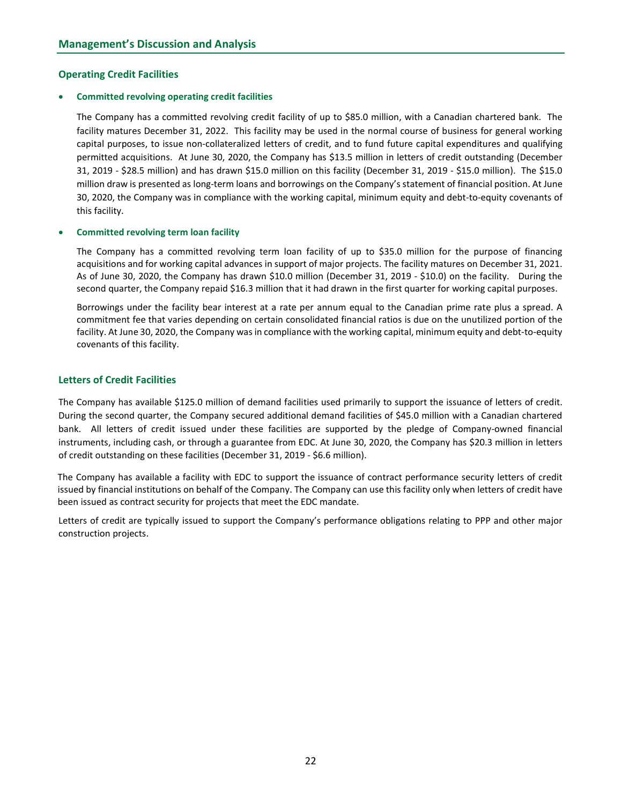#### Operating Credit Facilities

#### Committed revolving operating credit facilities

The Company has a committed revolving credit facility of up to \$85.0 million, with a Canadian chartered bank. The facility matures December 31, 2022. This facility may be used in the normal course of business for general working capital purposes, to issue non-collateralized letters of credit, and to fund future capital expenditures and qualifying permitted acquisitions. At June 30, 2020, the Company has \$13.5 million in letters of credit outstanding (December 31, 2019 - \$28.5 million) and has drawn \$15.0 million on this facility (December 31, 2019 - \$15.0 million). The \$15.0 million draw is presented as long-term loans and borrowings on the Company's statement of financial position. At June 30, 2020, the Company was in compliance with the working capital, minimum equity and debt-to-equity covenants of this facility.

#### Committed revolving term loan facility

The Company has a committed revolving term loan facility of up to \$35.0 million for the purpose of financing acquisitions and for working capital advances in support of major projects. The facility matures on December 31, 2021. As of June 30, 2020, the Company has drawn \$10.0 million (December 31, 2019 - \$10.0) on the facility. During the second quarter, the Company repaid \$16.3 million that it had drawn in the first quarter for working capital purposes.

Borrowings under the facility bear interest at a rate per annum equal to the Canadian prime rate plus a spread. A commitment fee that varies depending on certain consolidated financial ratios is due on the unutilized portion of the facility. At June 30, 2020, the Company was in compliance with the working capital, minimum equity and debt-to-equity covenants of this facility.

### Letters of Credit Facilities

The Company has available \$125.0 million of demand facilities used primarily to support the issuance of letters of credit. During the second quarter, the Company secured additional demand facilities of \$45.0 million with a Canadian chartered bank. All letters of credit issued under these facilities are supported by the pledge of Company-owned financial instruments, including cash, or through a guarantee from EDC. At June 30, 2020, the Company has \$20.3 million in letters of credit outstanding on these facilities (December 31, 2019 - \$6.6 million).

The Company has available a facility with EDC to support the issuance of contract performance security letters of credit issued by financial institutions on behalf of the Company. The Company can use this facility only when letters of credit have been issued as contract security for projects that meet the EDC mandate.

Letters of credit are typically issued to support the Company's performance obligations relating to PPP and other major construction projects.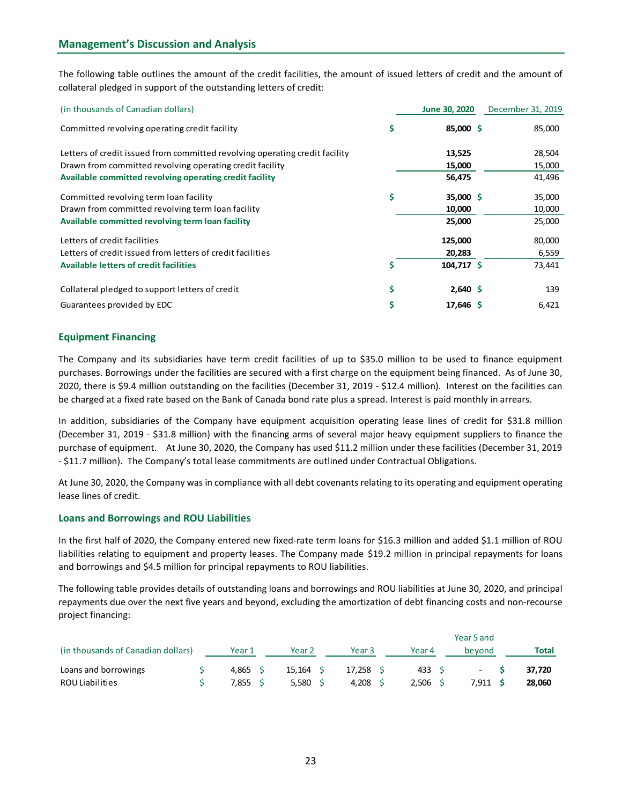| collateral pledged in support of the outstanding letters of credit:         |                   | The following table outlines the amount of the credit facilities, the amount of issued letters of credit and the amount of |
|-----------------------------------------------------------------------------|-------------------|----------------------------------------------------------------------------------------------------------------------------|
|                                                                             |                   |                                                                                                                            |
| (in thousands of Canadian dollars)                                          | June 30, 2020     | December 31, 2019                                                                                                          |
| Committed revolving operating credit facility                               | \$<br>85,000 \$   | 85,000                                                                                                                     |
| Letters of credit issued from committed revolving operating credit facility | 13,525            | 28,504                                                                                                                     |
| Drawn from committed revolving operating credit facility                    | 15,000            | 15,000                                                                                                                     |
| Available committed revolving operating credit facility                     | 56,475            | 41,496                                                                                                                     |
| Committed revolving term loan facility                                      | \$<br>$35,000$ \$ | 35,000                                                                                                                     |
| Drawn from committed revolving term loan facility                           | 10,000            | 10,000                                                                                                                     |
| Available committed revolving term loan facility                            | 25,000            | 25,000                                                                                                                     |
| Letters of credit facilities                                                | 125,000           | 80,000                                                                                                                     |
| Letters of credit issued from letters of credit facilities                  | 20,283            | 6,559                                                                                                                      |
| <b>Available letters of credit facilities</b>                               | \$<br>104,717 \$  | 73,441                                                                                                                     |
| Collateral pledged to support letters of credit                             | \$<br>$2,640$ \$  | 139                                                                                                                        |
| Guarantees provided by EDC                                                  | \$<br>17,646 \$   | 6,421                                                                                                                      |

# Equipment Financing

The Company and its subsidiaries have term credit facilities of up to \$35.0 million to be used to finance equipment purchases. Borrowings under the facilities are secured with a first charge on the equipment being financed. As of June 30, 2020, there is \$9.4 million outstanding on the facilities (December 31, 2019 - \$12.4 million). Interest on the facilities can be charged at a fixed rate based on the Bank of Canada bond rate plus a spread. Interest is paid monthly in arrears.

### Loans and Borrowings and ROU Liabilities

| be charged at a fixed rate based on the Bank of Canada bond rate plus a spread. Interest is paid monthly in arrears.                                                                                                                                                                                                                                                                                                                                                               |                |             |                   |        |            |   |              |  |
|------------------------------------------------------------------------------------------------------------------------------------------------------------------------------------------------------------------------------------------------------------------------------------------------------------------------------------------------------------------------------------------------------------------------------------------------------------------------------------|----------------|-------------|-------------------|--------|------------|---|--------------|--|
| In addition, subsidiaries of the Company have equipment acquisition operating lease lines of credit for \$31.8 million<br>(December 31, 2019 - \$31.8 million) with the financing arms of several major heavy equipment suppliers to finance the<br>purchase of equipment. At June 30, 2020, the Company has used \$11.2 million under these facilities (December 31, 2019<br>- \$11.7 million). The Company's total lease commitments are outlined under Contractual Obligations. |                |             |                   |        |            |   |              |  |
| At June 30, 2020, the Company was in compliance with all debt covenants relating to its operating and equipment operating<br>lease lines of credit.                                                                                                                                                                                                                                                                                                                                |                |             |                   |        |            |   |              |  |
| <b>Loans and Borrowings and ROU Liabilities</b>                                                                                                                                                                                                                                                                                                                                                                                                                                    |                |             |                   |        |            |   |              |  |
| In the first half of 2020, the Company entered new fixed-rate term loans for \$16.3 million and added \$1.1 million of ROU<br>liabilities relating to equipment and property leases. The Company made \$19.2 million in principal repayments for loans<br>and borrowings and \$4.5 million for principal repayments to ROU liabilities.                                                                                                                                            |                |             |                   |        |            |   |              |  |
|                                                                                                                                                                                                                                                                                                                                                                                                                                                                                    |                |             |                   |        |            |   |              |  |
| The following table provides details of outstanding loans and borrowings and ROU liabilities at June 30, 2020, and principal<br>repayments due over the next five years and beyond, excluding the amortization of debt financing costs and non-recourse<br>project financing:                                                                                                                                                                                                      |                |             |                   |        |            |   |              |  |
|                                                                                                                                                                                                                                                                                                                                                                                                                                                                                    |                |             |                   |        | Year 5 and |   |              |  |
| (in thousands of Canadian dollars)                                                                                                                                                                                                                                                                                                                                                                                                                                                 | Year 1         | Year 2      | Year <sub>3</sub> | Year 4 | beyond     |   | <b>Total</b> |  |
| Loans and borrowings                                                                                                                                                                                                                                                                                                                                                                                                                                                               | \$<br>4,865 \$ | $15,164$ \$ | $17,258$ \$       | 433 \$ |            | Ŝ | 37,720       |  |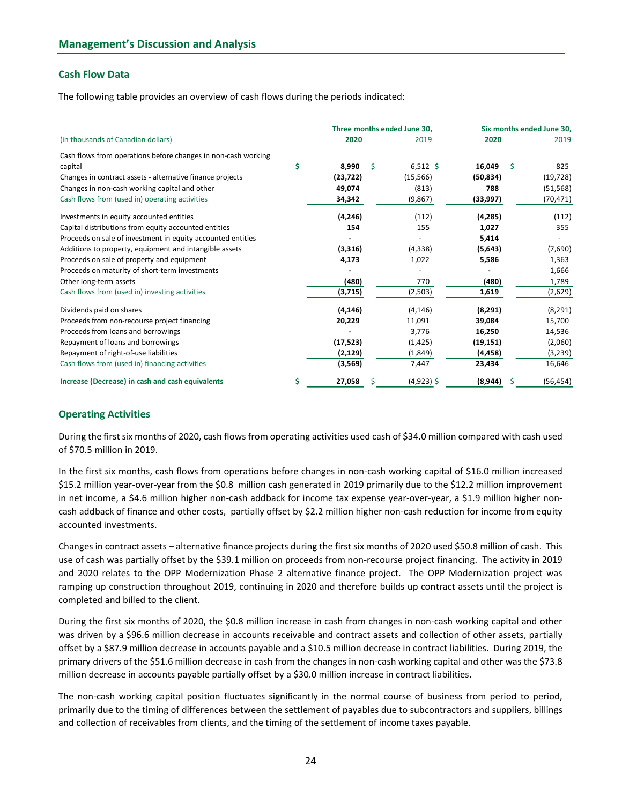# Cash Flow Data

| <b>Management's Discussion and Analysis</b><br><b>Cash Flow Data</b><br>The following table provides an overview of cash flows during the periods indicated: |     |           |                                     |                                   |           |
|--------------------------------------------------------------------------------------------------------------------------------------------------------------|-----|-----------|-------------------------------------|-----------------------------------|-----------|
|                                                                                                                                                              |     |           |                                     |                                   |           |
|                                                                                                                                                              |     |           |                                     |                                   |           |
|                                                                                                                                                              |     |           |                                     |                                   |           |
|                                                                                                                                                              |     |           |                                     |                                   |           |
|                                                                                                                                                              |     |           |                                     |                                   |           |
| (in thousands of Canadian dollars)                                                                                                                           |     | 2020      | Three months ended June 30,<br>2019 | Six months ended June 30,<br>2020 | 2019      |
| Cash flows from operations before changes in non-cash working                                                                                                |     |           |                                     |                                   |           |
| capital                                                                                                                                                      | \$. | 8,990     | \$<br>$6,512$ \$                    | 16,049<br>-S                      | 825       |
| Changes in contract assets - alternative finance projects                                                                                                    |     | (23, 722) | (15, 566)                           | (50, 834)                         | (19, 728) |
| Changes in non-cash working capital and other                                                                                                                |     | 49,074    | (813)                               | 788                               | (51, 568) |
| Cash flows from (used in) operating activities                                                                                                               |     | 34,342    | (9,867)                             | (33,997)                          | (70, 471) |
| Investments in equity accounted entities                                                                                                                     |     | (4, 246)  | (112)                               | (4, 285)                          | (112)     |
| Capital distributions from equity accounted entities                                                                                                         |     | 154       | 155                                 | 1,027                             | 355       |
| Proceeds on sale of investment in equity accounted entities                                                                                                  |     |           | $\overline{\phantom{a}}$            | 5,414                             | $\sim$    |
| Additions to property, equipment and intangible assets                                                                                                       |     | (3,316)   | (4, 338)                            | (5, 643)                          | (7,690)   |
| Proceeds on sale of property and equipment                                                                                                                   |     | 4,173     | 1,022                               | 5,586                             | 1,363     |
| Proceeds on maturity of short-term investments                                                                                                               |     |           |                                     |                                   | 1,666     |
| Other long-term assets                                                                                                                                       |     | (480)     | 770                                 | (480)                             | 1,789     |
| Cash flows from (used in) investing activities                                                                                                               |     | (3,715)   | (2,503)                             | 1,619                             | (2,629)   |
| Dividends paid on shares                                                                                                                                     |     | (4, 146)  | (4, 146)                            | (8, 291)                          | (8, 291)  |
| Proceeds from non-recourse project financing                                                                                                                 |     | 20,229    | 11,091                              | 39,084                            | 15,700    |
| Proceeds from loans and borrowings                                                                                                                           |     |           | 3,776                               | 16,250                            | 14,536    |
| Repayment of loans and borrowings                                                                                                                            |     | (17, 523) | (1, 425)                            | (19, 151)                         | (2,060)   |
| Repayment of right-of-use liabilities                                                                                                                        |     | (2, 129)  | (1,849)                             | (4, 458)                          | (3, 239)  |
| Cash flows from (used in) financing activities                                                                                                               |     | (3,569)   | 7,447                               | 23,434                            | 16,646    |
| Increase (Decrease) in cash and cash equivalents                                                                                                             | \$. | 27,058    | \$<br>$(4,923)$ \$                  | (8,944)<br>-S                     | (56, 454) |
|                                                                                                                                                              |     |           |                                     |                                   |           |
|                                                                                                                                                              |     |           |                                     |                                   |           |

### Operating Activities

In the first six months, cash flows from operations before changes in non-cash working capital of \$16.0 million increased \$15.2 million year-over-year from the \$0.8 million cash generated in 2019 primarily due to the \$12.2 million improvement in net income, a \$4.6 million higher non-cash addback for income tax expense year-over-year, a \$1.9 million higher noncash addback of finance and other costs, partially offset by \$2.2 million higher non-cash reduction for income from equity accounted investments.

Changes in contract assets – alternative finance projects during the first six months of 2020 used \$50.8 million of cash. This use of cash was partially offset by the \$39.1 million on proceeds from non-recourse project financing. The activity in 2019 and 2020 relates to the OPP Modernization Phase 2 alternative finance project. The OPP Modernization project was ramping up construction throughout 2019, continuing in 2020 and therefore builds up contract assets until the project is completed and billed to the client.

During the first six months of 2020, the \$0.8 million increase in cash from changes in non-cash working capital and other was driven by a \$96.6 million decrease in accounts receivable and contract assets and collection of other assets, partially offset by a \$87.9 million decrease in accounts payable and a \$10.5 million decrease in contract liabilities. During 2019, the primary drivers of the \$51.6 million decrease in cash from the changes in non-cash working capital and other was the \$73.8 million decrease in accounts payable partially offset by a \$30.0 million increase in contract liabilities.

The non-cash working capital position fluctuates significantly in the normal course of business from period to period, primarily due to the timing of differences between the settlement of payables due to subcontractors and suppliers, billings and collection of receivables from clients, and the timing of the settlement of income taxes payable.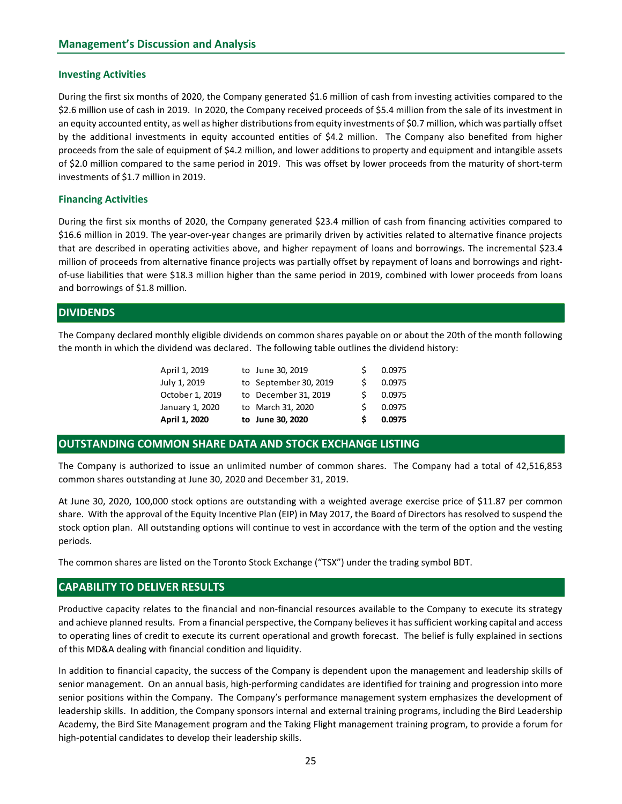#### Investing Activities

During the first six months of 2020, the Company generated \$1.6 million of cash from investing activities compared to the \$2.6 million use of cash in 2019. In 2020, the Company received proceeds of \$5.4 million from the sale of its investment in an equity accounted entity, as well as higher distributions from equity investments of \$0.7 million, which was partially offset by the additional investments in equity accounted entities of \$4.2 million. The Company also benefited from higher proceeds from the sale of equipment of \$4.2 million, and lower additions to property and equipment and intangible assets of \$2.0 million compared to the same period in 2019. This was offset by lower proceeds from the maturity of short-term investments of \$1.7 million in 2019.

#### Financing Activities

During the first six months of 2020, the Company generated \$23.4 million of cash from financing activities compared to \$16.6 million in 2019. The year-over-year changes are primarily driven by activities related to alternative finance projects that are described in operating activities above, and higher repayment of loans and borrowings. The incremental \$23.4 million of proceeds from alternative finance projects was partially offset by repayment of loans and borrowings and rightof-use liabilities that were \$18.3 million higher than the same period in 2019, combined with lower proceeds from loans and borrowings of \$1.8 million. ty, as well as higher distributions from equity investments of \$0.7 million, which was partially offset<br>ments in equity accounted entities of \$4.2 million. The Company also benefited from lingter<br>f equipment of \$4.2 millio My the state in equity accounted entities of \$4.2 million. The Company also benefited from higher fequipment of \$4.2 million, and lower additions to property and equipment and intangible assets<br>to the same period in 2019. methan of equipment of \$4.2 million, and lower additions to property and equipment and intangible assets<br>to the same period in 2019. This was offset by lower proceeds from the maturity of short-term<br>on in 2019.<br>
this of 20 equiplement of 34.2 manuary, and two-erations to property and equipment and mitagibue assess<br>
to the same period in 2019. This was offset by lower proceeds from the maturity of short-term<br>
on in 2019.<br>
this of 2020, the C 10 to the same period in 2019. Inis was oriset by lower proceeds from the maturity of short-term<br>
this of 2020, the Company generated \$23.4 million of cash from financing activities compared to<br>
exer-over-year changes are

# **DIVIDENDS**

The Company declared monthly eligible dividends on common shares payable on or about the 20th of the month following the month in which the dividend was declared. The following table outlines the dividend history:

| April 1, 2020   | to June 30, 2020      | S. | 0.0975 |
|-----------------|-----------------------|----|--------|
| January 1, 2020 | to March 31, 2020     | S. | 0.0975 |
| October 1, 2019 | to December 31, 2019  | S. | 0.0975 |
| July 1, 2019    | to September 30, 2019 | S. | 0.0975 |
| April 1, 2019   | to June 30, 2019      | S. | 0.0975 |

### OUTSTANDING COMMON SHARE DATA AND STOCK EXCHANGE LISTING

The Company is authorized to issue an unlimited number of common shares. The Company had a total of 42,516,853 common shares outstanding at June 30, 2020 and December 31, 2019.

At June 30, 2020, 100,000 stock options are outstanding with a weighted average exercise price of \$11.87 per common share. With the approval of the Equity Incentive Plan (EIP) in May 2017, the Board of Directors has resolved to suspend the stock option plan. All outstanding options will continue to vest in accordance with the term of the option and the vesting periods.

The common shares are listed on the Toronto Stock Exchange ("TSX") under the trading symbol BDT.

### CAPABILITY TO DELIVER RESULTS

Productive capacity relates to the financial and non-financial resources available to the Company to execute its strategy and achieve planned results. From a financial perspective, the Company believes it has sufficient working capital and access to operating lines of credit to execute its current operational and growth forecast. The belief is fully explained in sections of this MD&A dealing with financial condition and liquidity.

In addition to financial capacity, the success of the Company is dependent upon the management and leadership skills of senior management. On an annual basis, high-performing candidates are identified for training and progression into more senior positions within the Company. The Company's performance management system emphasizes the development of leadership skills. In addition, the Company sponsors internal and external training programs, including the Bird Leadership Academy, the Bird Site Management program and the Taking Flight management training program, to provide a forum for high-potential candidates to develop their leadership skills.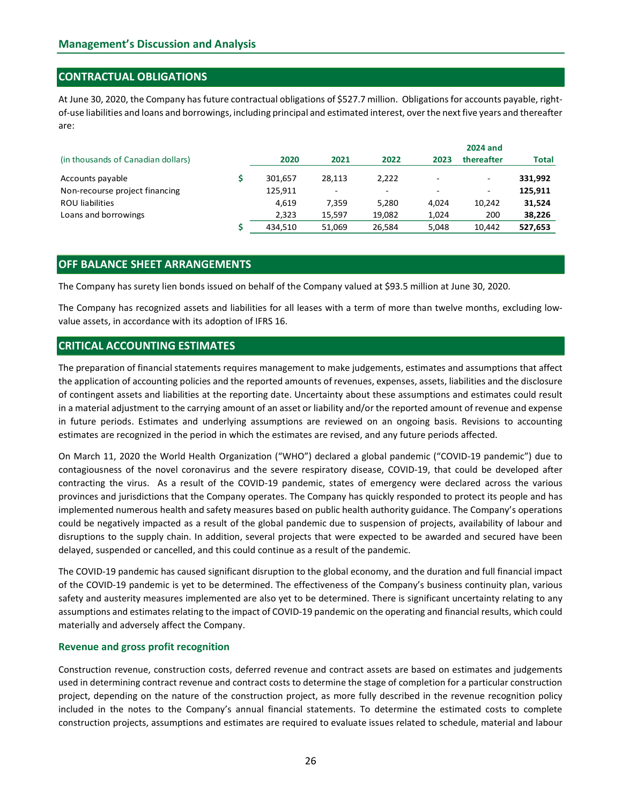# CONTRACTUAL OBLIGATIONS

| <b>Management's Discussion and Analysis</b><br><b>CONTRACTUAL OBLIGATIONS</b>                                                    |    |                |                  |                 |                          |                 |                  |
|----------------------------------------------------------------------------------------------------------------------------------|----|----------------|------------------|-----------------|--------------------------|-----------------|------------------|
|                                                                                                                                  |    |                |                  |                 |                          |                 |                  |
|                                                                                                                                  |    |                |                  |                 |                          |                 |                  |
|                                                                                                                                  |    |                |                  |                 |                          |                 |                  |
|                                                                                                                                  |    |                |                  |                 |                          |                 |                  |
|                                                                                                                                  |    |                |                  |                 |                          |                 |                  |
|                                                                                                                                  |    |                |                  |                 |                          |                 |                  |
| At June 30, 2020, the Company has future contractual obligations of \$527.7 million. Obligations for accounts payable, right-    |    |                |                  |                 |                          |                 |                  |
| of-use liabilities and loans and borrowings, including principal and estimated interest, over the next five years and thereafter |    |                |                  |                 |                          |                 |                  |
|                                                                                                                                  |    |                |                  |                 |                          |                 |                  |
| are:                                                                                                                             |    |                |                  |                 |                          |                 |                  |
|                                                                                                                                  |    |                |                  |                 |                          | <b>2024 and</b> |                  |
|                                                                                                                                  |    | 2020           | 2021             | 2022            | 2023                     | thereafter      | <b>Total</b>     |
| (in thousands of Canadian dollars)                                                                                               |    |                |                  |                 |                          |                 |                  |
|                                                                                                                                  | Ŝ. |                |                  |                 |                          |                 |                  |
| Accounts payable                                                                                                                 |    | 301,657        | 28,113<br>$\sim$ | 2,222<br>$\sim$ | $\overline{\phantom{a}}$ |                 | 331,992          |
| Non-recourse project financing                                                                                                   |    | 125,911        |                  |                 |                          |                 | 125,911          |
| <b>ROU liabilities</b><br>Loans and borrowings                                                                                   |    | 4,619<br>2,323 | 7,359<br>15,597  | 5,280<br>19,082 | 4,024<br>1,024           | 10,242<br>200   | 31,524<br>38,226 |

# OFF BALANCE SHEET ARRANGEMENTS

The Company has recognized assets and liabilities for all leases with a term of more than twelve months, excluding lowvalue assets, in accordance with its adoption of IFRS 16.

# CRITICAL ACCOUNTING ESTIMATES

The preparation of financial statements requires management to make judgements, estimates and assumptions that affect the application of accounting policies and the reported amounts of revenues, expenses, assets, liabilities and the disclosure of contingent assets and liabilities at the reporting date. Uncertainty about these assumptions and estimates could result in a material adjustment to the carrying amount of an asset or liability and/or the reported amount of revenue and expense in future periods. Estimates and underlying assumptions are reviewed on an ongoing basis. Revisions to accounting estimates are recognized in the period in which the estimates are revised, and any future periods affected.

On March 11, 2020 the World Health Organization ("WHO") declared a global pandemic ("COVID-19 pandemic") due to contagiousness of the novel coronavirus and the severe respiratory disease, COVID-19, that could be developed after contracting the virus. As a result of the COVID-19 pandemic, states of emergency were declared across the various provinces and jurisdictions that the Company operates. The Company has quickly responded to protect its people and has implemented numerous health and safety measures based on public health authority guidance. The Company's operations could be negatively impacted as a result of the global pandemic due to suspension of projects, availability of labour and disruptions to the supply chain. In addition, several projects that were expected to be awarded and secured have been delayed, suspended or cancelled, and this could continue as a result of the pandemic.

The COVID-19 pandemic has caused significant disruption to the global economy, and the duration and full financial impact of the COVID-19 pandemic is yet to be determined. The effectiveness of the Company's business continuity plan, various safety and austerity measures implemented are also yet to be determined. There is significant uncertainty relating to any assumptions and estimates relating to the impact of COVID-19 pandemic on the operating and financial results, which could materially and adversely affect the Company.

### Revenue and gross profit recognition

Construction revenue, construction costs, deferred revenue and contract assets are based on estimates and judgements used in determining contract revenue and contract costs to determine the stage of completion for a particular construction project, depending on the nature of the construction project, as more fully described in the revenue recognition policy included in the notes to the Company's annual financial statements. To determine the estimated costs to complete construction projects, assumptions and estimates are required to evaluate issues related to schedule, material and labour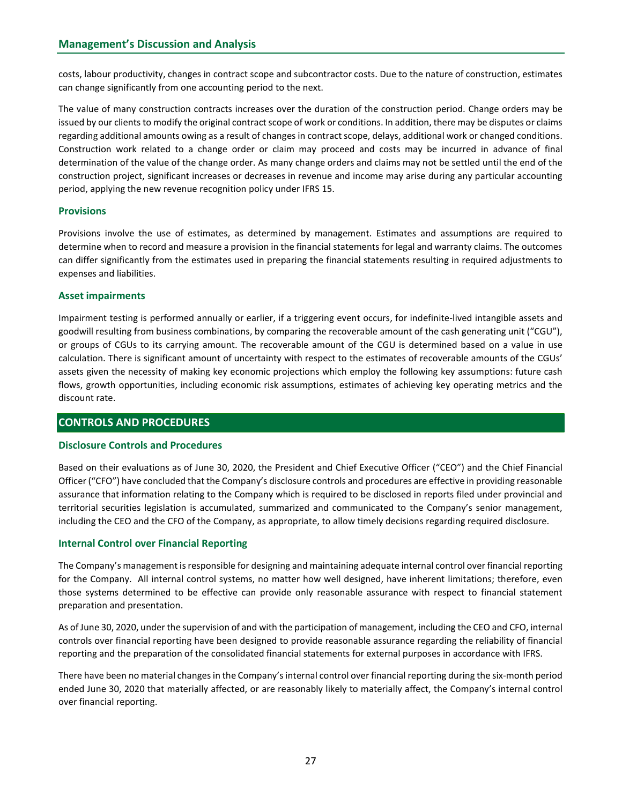costs, labour productivity, changes in contract scope and subcontractor costs. Due to the nature of construction, estimates can change significantly from one accounting period to the next.

The value of many construction contracts increases over the duration of the construction period. Change orders may be issued by our clients to modify the original contract scope of work or conditions. In addition, there may be disputes or claims regarding additional amounts owing as a result of changes in contract scope, delays, additional work or changed conditions. Construction work related to a change order or claim may proceed and costs may be incurred in advance of final determination of the value of the change order. As many change orders and claims may not be settled until the end of the construction project, significant increases or decreases in revenue and income may arise during any particular accounting period, applying the new revenue recognition policy under IFRS 15.

## **Provisions**

Provisions involve the use of estimates, as determined by management. Estimates and assumptions are required to determine when to record and measure a provision in the financial statements for legal and warranty claims. The outcomes can differ significantly from the estimates used in preparing the financial statements resulting in required adjustments to expenses and liabilities.

## Asset impairments

Impairment testing is performed annually or earlier, if a triggering event occurs, for indefinite-lived intangible assets and goodwill resulting from business combinations, by comparing the recoverable amount of the cash generating unit ("CGU"), or groups of CGUs to its carrying amount. The recoverable amount of the CGU is determined based on a value in use calculation. There is significant amount of uncertainty with respect to the estimates of recoverable amounts of the CGUs' assets given the necessity of making key economic projections which employ the following key assumptions: future cash flows, growth opportunities, including economic risk assumptions, estimates of achieving key operating metrics and the discount rate.

# CONTROLS AND PROCEDURES

### Disclosure Controls and Procedures

Based on their evaluations as of June 30, 2020, the President and Chief Executive Officer ("CEO") and the Chief Financial Officer ("CFO") have concluded that the Company's disclosure controls and procedures are effective in providing reasonable assurance that information relating to the Company which is required to be disclosed in reports filed under provincial and territorial securities legislation is accumulated, summarized and communicated to the Company's senior management, including the CEO and the CFO of the Company, as appropriate, to allow timely decisions regarding required disclosure.

### Internal Control over Financial Reporting

The Company's management is responsible for designing and maintaining adequate internal control over financial reporting for the Company. All internal control systems, no matter how well designed, have inherent limitations; therefore, even those systems determined to be effective can provide only reasonable assurance with respect to financial statement preparation and presentation.

As of June 30, 2020, under the supervision of and with the participation of management, including the CEO and CFO, internal controls over financial reporting have been designed to provide reasonable assurance regarding the reliability of financial reporting and the preparation of the consolidated financial statements for external purposes in accordance with IFRS.

There have been no material changes in the Company's internal control over financial reporting during the six-month period ended June 30, 2020 that materially affected, or are reasonably likely to materially affect, the Company's internal control over financial reporting.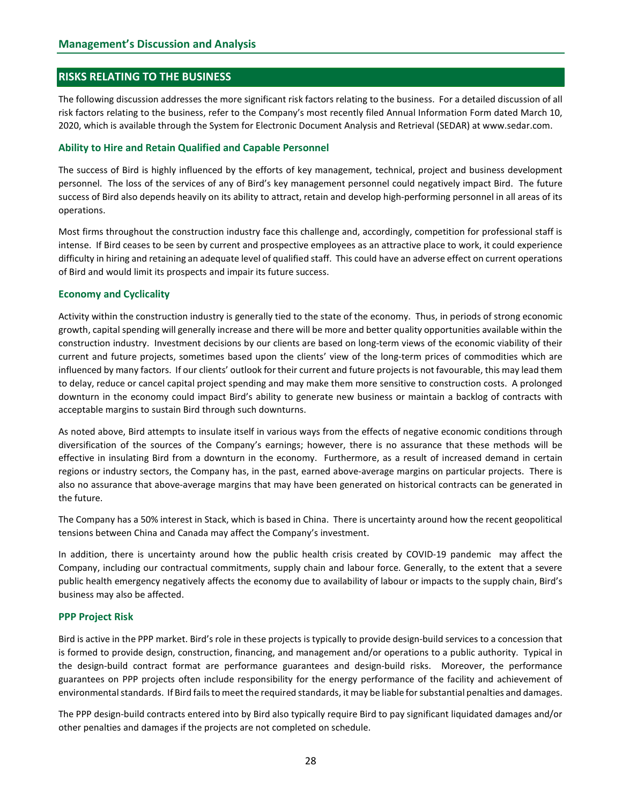## RISKS RELATING TO THE BUSINESS

The following discussion addresses the more significant risk factors relating to the business. For a detailed discussion of all risk factors relating to the business, refer to the Company's most recently filed Annual Information Form dated March 10, 2020, which is available through the System for Electronic Document Analysis and Retrieval (SEDAR) at www.sedar.com.

#### Ability to Hire and Retain Qualified and Capable Personnel

The success of Bird is highly influenced by the efforts of key management, technical, project and business development personnel. The loss of the services of any of Bird's key management personnel could negatively impact Bird. The future success of Bird also depends heavily on its ability to attract, retain and develop high-performing personnel in all areas of its operations.

Most firms throughout the construction industry face this challenge and, accordingly, competition for professional staff is intense. If Bird ceases to be seen by current and prospective employees as an attractive place to work, it could experience difficulty in hiring and retaining an adequate level of qualified staff. This could have an adverse effect on current operations of Bird and would limit its prospects and impair its future success.

#### Economy and Cyclicality

Activity within the construction industry is generally tied to the state of the economy. Thus, in periods of strong economic growth, capital spending will generally increase and there will be more and better quality opportunities available within the construction industry. Investment decisions by our clients are based on long-term views of the economic viability of their current and future projects, sometimes based upon the clients' view of the long-term prices of commodities which are influenced by many factors. If our clients' outlook for their current and future projects is not favourable, this may lead them to delay, reduce or cancel capital project spending and may make them more sensitive to construction costs. A prolonged downturn in the economy could impact Bird's ability to generate new business or maintain a backlog of contracts with acceptable margins to sustain Bird through such downturns.

As noted above, Bird attempts to insulate itself in various ways from the effects of negative economic conditions through diversification of the sources of the Company's earnings; however, there is no assurance that these methods will be effective in insulating Bird from a downturn in the economy. Furthermore, as a result of increased demand in certain regions or industry sectors, the Company has, in the past, earned above-average margins on particular projects. There is also no assurance that above-average margins that may have been generated on historical contracts can be generated in the future.

The Company has a 50% interest in Stack, which is based in China. There is uncertainty around how the recent geopolitical tensions between China and Canada may affect the Company's investment.

In addition, there is uncertainty around how the public health crisis created by COVID-19 pandemic may affect the Company, including our contractual commitments, supply chain and labour force. Generally, to the extent that a severe public health emergency negatively affects the economy due to availability of labour or impacts to the supply chain, Bird's business may also be affected.

#### PPP Project Risk

Bird is active in the PPP market. Bird's role in these projects is typically to provide design-build services to a concession that is formed to provide design, construction, financing, and management and/or operations to a public authority. Typical in the design-build contract format are performance guarantees and design-build risks. Moreover, the performance guarantees on PPP projects often include responsibility for the energy performance of the facility and achievement of environmental standards. If Bird fails to meet the required standards, it may be liable for substantial penalties and damages.

The PPP design-build contracts entered into by Bird also typically require Bird to pay significant liquidated damages and/or other penalties and damages if the projects are not completed on schedule.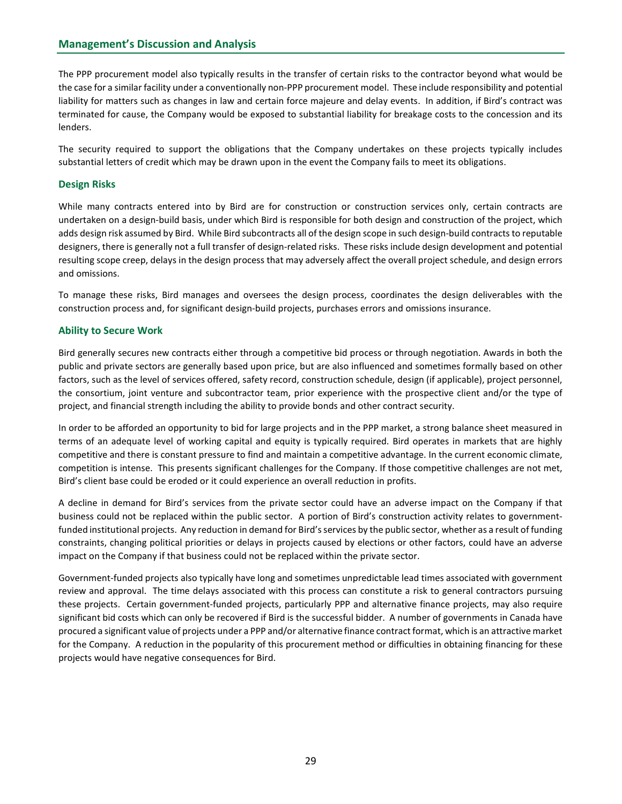The PPP procurement model also typically results in the transfer of certain risks to the contractor beyond what would be the case for a similar facility under a conventionally non-PPP procurement model. These include responsibility and potential liability for matters such as changes in law and certain force majeure and delay events. In addition, if Bird's contract was terminated for cause, the Company would be exposed to substantial liability for breakage costs to the concession and its lenders.

The security required to support the obligations that the Company undertakes on these projects typically includes substantial letters of credit which may be drawn upon in the event the Company fails to meet its obligations.

# Design Risks

While many contracts entered into by Bird are for construction or construction services only, certain contracts are undertaken on a design-build basis, under which Bird is responsible for both design and construction of the project, which adds design risk assumed by Bird. While Bird subcontracts all of the design scope in such design-build contracts to reputable designers, there is generally not a full transfer of design-related risks. These risks include design development and potential resulting scope creep, delays in the design process that may adversely affect the overall project schedule, and design errors and omissions.

To manage these risks, Bird manages and oversees the design process, coordinates the design deliverables with the construction process and, for significant design-build projects, purchases errors and omissions insurance.

### Ability to Secure Work

Bird generally secures new contracts either through a competitive bid process or through negotiation. Awards in both the public and private sectors are generally based upon price, but are also influenced and sometimes formally based on other factors, such as the level of services offered, safety record, construction schedule, design (if applicable), project personnel, the consortium, joint venture and subcontractor team, prior experience with the prospective client and/or the type of project, and financial strength including the ability to provide bonds and other contract security.

In order to be afforded an opportunity to bid for large projects and in the PPP market, a strong balance sheet measured in terms of an adequate level of working capital and equity is typically required. Bird operates in markets that are highly competitive and there is constant pressure to find and maintain a competitive advantage. In the current economic climate, competition is intense. This presents significant challenges for the Company. If those competitive challenges are not met, Bird's client base could be eroded or it could experience an overall reduction in profits.

A decline in demand for Bird's services from the private sector could have an adverse impact on the Company if that business could not be replaced within the public sector. A portion of Bird's construction activity relates to governmentfunded institutional projects. Any reduction in demand for Bird's services by the public sector, whether as a result of funding constraints, changing political priorities or delays in projects caused by elections or other factors, could have an adverse impact on the Company if that business could not be replaced within the private sector.

Government-funded projects also typically have long and sometimes unpredictable lead times associated with government review and approval. The time delays associated with this process can constitute a risk to general contractors pursuing these projects. Certain government-funded projects, particularly PPP and alternative finance projects, may also require significant bid costs which can only be recovered if Bird is the successful bidder. A number of governments in Canada have procured a significant value of projects under a PPP and/or alternative finance contract format, which is an attractive market for the Company. A reduction in the popularity of this procurement method or difficulties in obtaining financing for these projects would have negative consequences for Bird.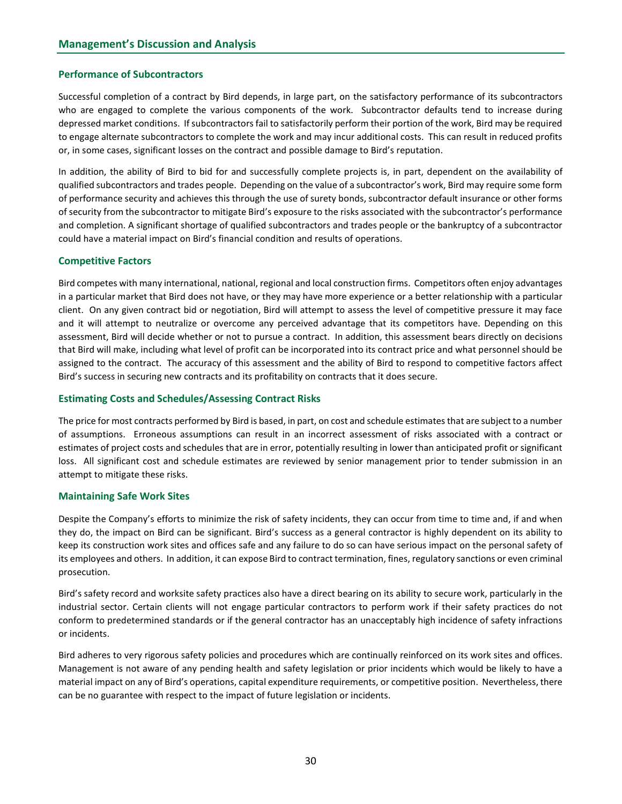## Performance of Subcontractors

Successful completion of a contract by Bird depends, in large part, on the satisfactory performance of its subcontractors who are engaged to complete the various components of the work. Subcontractor defaults tend to increase during depressed market conditions. If subcontractors fail to satisfactorily perform their portion of the work, Bird may be required to engage alternate subcontractors to complete the work and may incur additional costs. This can result in reduced profits or, in some cases, significant losses on the contract and possible damage to Bird's reputation.

In addition, the ability of Bird to bid for and successfully complete projects is, in part, dependent on the availability of qualified subcontractors and trades people. Depending on the value of a subcontractor's work, Bird may require some form of performance security and achieves this through the use of surety bonds, subcontractor default insurance or other forms of security from the subcontractor to mitigate Bird's exposure to the risks associated with the subcontractor's performance and completion. A significant shortage of qualified subcontractors and trades people or the bankruptcy of a subcontractor could have a material impact on Bird's financial condition and results of operations.

## Competitive Factors

Bird competes with many international, national, regional and local construction firms. Competitors often enjoy advantages in a particular market that Bird does not have, or they may have more experience or a better relationship with a particular client. On any given contract bid or negotiation, Bird will attempt to assess the level of competitive pressure it may face and it will attempt to neutralize or overcome any perceived advantage that its competitors have. Depending on this assessment, Bird will decide whether or not to pursue a contract. In addition, this assessment bears directly on decisions that Bird will make, including what level of profit can be incorporated into its contract price and what personnel should be assigned to the contract. The accuracy of this assessment and the ability of Bird to respond to competitive factors affect Bird's success in securing new contracts and its profitability on contracts that it does secure.

## Estimating Costs and Schedules/Assessing Contract Risks

The price for most contracts performed by Bird is based, in part, on cost and schedule estimates that are subject to a number of assumptions. Erroneous assumptions can result in an incorrect assessment of risks associated with a contract or estimates of project costs and schedules that are in error, potentially resulting in lower than anticipated profit or significant loss. All significant cost and schedule estimates are reviewed by senior management prior to tender submission in an attempt to mitigate these risks.

### Maintaining Safe Work Sites

Despite the Company's efforts to minimize the risk of safety incidents, they can occur from time to time and, if and when they do, the impact on Bird can be significant. Bird's success as a general contractor is highly dependent on its ability to keep its construction work sites and offices safe and any failure to do so can have serious impact on the personal safety of its employees and others. In addition, it can expose Bird to contract termination, fines, regulatory sanctions or even criminal prosecution.

Bird's safety record and worksite safety practices also have a direct bearing on its ability to secure work, particularly in the industrial sector. Certain clients will not engage particular contractors to perform work if their safety practices do not conform to predetermined standards or if the general contractor has an unacceptably high incidence of safety infractions or incidents.

Bird adheres to very rigorous safety policies and procedures which are continually reinforced on its work sites and offices. Management is not aware of any pending health and safety legislation or prior incidents which would be likely to have a material impact on any of Bird's operations, capital expenditure requirements, or competitive position. Nevertheless, there can be no guarantee with respect to the impact of future legislation or incidents.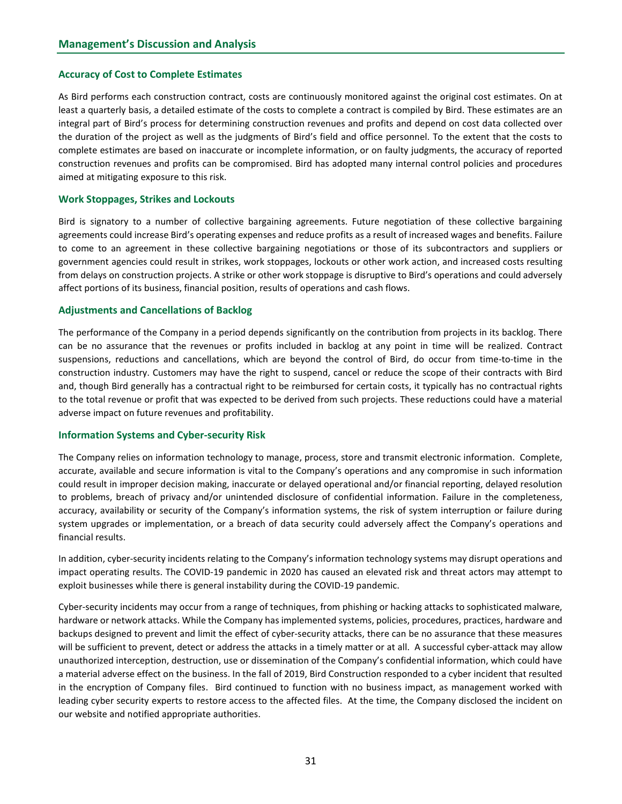#### Accuracy of Cost to Complete Estimates

As Bird performs each construction contract, costs are continuously monitored against the original cost estimates. On at least a quarterly basis, a detailed estimate of the costs to complete a contract is compiled by Bird. These estimates are an integral part of Bird's process for determining construction revenues and profits and depend on cost data collected over the duration of the project as well as the judgments of Bird's field and office personnel. To the extent that the costs to complete estimates are based on inaccurate or incomplete information, or on faulty judgments, the accuracy of reported construction revenues and profits can be compromised. Bird has adopted many internal control policies and procedures aimed at mitigating exposure to this risk.

#### Work Stoppages, Strikes and Lockouts

Bird is signatory to a number of collective bargaining agreements. Future negotiation of these collective bargaining agreements could increase Bird's operating expenses and reduce profits as a result of increased wages and benefits. Failure to come to an agreement in these collective bargaining negotiations or those of its subcontractors and suppliers or government agencies could result in strikes, work stoppages, lockouts or other work action, and increased costs resulting from delays on construction projects. A strike or other work stoppage is disruptive to Bird's operations and could adversely affect portions of its business, financial position, results of operations and cash flows.

#### Adjustments and Cancellations of Backlog

The performance of the Company in a period depends significantly on the contribution from projects in its backlog. There can be no assurance that the revenues or profits included in backlog at any point in time will be realized. Contract suspensions, reductions and cancellations, which are beyond the control of Bird, do occur from time-to-time in the construction industry. Customers may have the right to suspend, cancel or reduce the scope of their contracts with Bird and, though Bird generally has a contractual right to be reimbursed for certain costs, it typically has no contractual rights to the total revenue or profit that was expected to be derived from such projects. These reductions could have a material adverse impact on future revenues and profitability.

### Information Systems and Cyber-security Risk

The Company relies on information technology to manage, process, store and transmit electronic information. Complete, accurate, available and secure information is vital to the Company's operations and any compromise in such information could result in improper decision making, inaccurate or delayed operational and/or financial reporting, delayed resolution to problems, breach of privacy and/or unintended disclosure of confidential information. Failure in the completeness, accuracy, availability or security of the Company's information systems, the risk of system interruption or failure during system upgrades or implementation, or a breach of data security could adversely affect the Company's operations and financial results.

In addition, cyber-security incidents relating to the Company's information technology systems may disrupt operations and impact operating results. The COVID-19 pandemic in 2020 has caused an elevated risk and threat actors may attempt to exploit businesses while there is general instability during the COVID-19 pandemic.

Cyber-security incidents may occur from a range of techniques, from phishing or hacking attacks to sophisticated malware, hardware or network attacks. While the Company has implemented systems, policies, procedures, practices, hardware and backups designed to prevent and limit the effect of cyber-security attacks, there can be no assurance that these measures will be sufficient to prevent, detect or address the attacks in a timely matter or at all. A successful cyber-attack may allow unauthorized interception, destruction, use or dissemination of the Company's confidential information, which could have a material adverse effect on the business. In the fall of 2019, Bird Construction responded to a cyber incident that resulted in the encryption of Company files. Bird continued to function with no business impact, as management worked with leading cyber security experts to restore access to the affected files. At the time, the Company disclosed the incident on our website and notified appropriate authorities.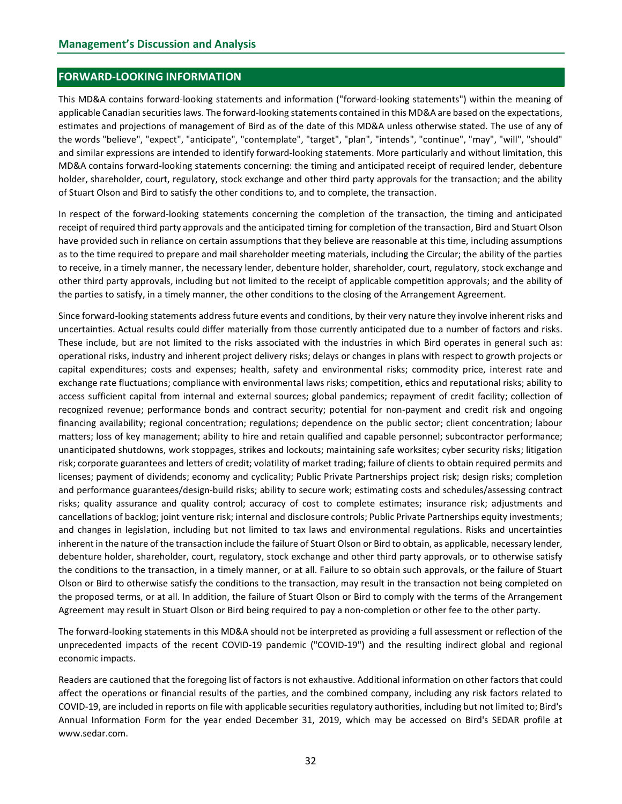### FORWARD-LOOKING INFORMATION

This MD&A contains forward-looking statements and information ("forward-looking statements") within the meaning of applicable Canadian securities laws. The forward-looking statements contained in this MD&A are based on the expectations, estimates and projections of management of Bird as of the date of this MD&A unless otherwise stated. The use of any of the words "believe", "expect", "anticipate", "contemplate", "target", "plan", "intends", "continue", "may", "will", "should" and similar expressions are intended to identify forward-looking statements. More particularly and without limitation, this MD&A contains forward-looking statements concerning: the timing and anticipated receipt of required lender, debenture holder, shareholder, court, regulatory, stock exchange and other third party approvals for the transaction; and the ability of Stuart Olson and Bird to satisfy the other conditions to, and to complete, the transaction.

In respect of the forward-looking statements concerning the completion of the transaction, the timing and anticipated receipt of required third party approvals and the anticipated timing for completion of the transaction, Bird and Stuart Olson have provided such in reliance on certain assumptions that they believe are reasonable at this time, including assumptions as to the time required to prepare and mail shareholder meeting materials, including the Circular; the ability of the parties to receive, in a timely manner, the necessary lender, debenture holder, shareholder, court, regulatory, stock exchange and other third party approvals, including but not limited to the receipt of applicable competition approvals; and the ability of the parties to satisfy, in a timely manner, the other conditions to the closing of the Arrangement Agreement.

Since forward-looking statements address future events and conditions, by their very nature they involve inherent risks and uncertainties. Actual results could differ materially from those currently anticipated due to a number of factors and risks. These include, but are not limited to the risks associated with the industries in which Bird operates in general such as: operational risks, industry and inherent project delivery risks; delays or changes in plans with respect to growth projects or capital expenditures; costs and expenses; health, safety and environmental risks; commodity price, interest rate and exchange rate fluctuations; compliance with environmental laws risks; competition, ethics and reputational risks; ability to access sufficient capital from internal and external sources; global pandemics; repayment of credit facility; collection of recognized revenue; performance bonds and contract security; potential for non-payment and credit risk and ongoing financing availability; regional concentration; regulations; dependence on the public sector; client concentration; labour matters; loss of key management; ability to hire and retain qualified and capable personnel; subcontractor performance; unanticipated shutdowns, work stoppages, strikes and lockouts; maintaining safe worksites; cyber security risks; litigation risk; corporate guarantees and letters of credit; volatility of market trading; failure of clients to obtain required permits and licenses; payment of dividends; economy and cyclicality; Public Private Partnerships project risk; design risks; completion and performance guarantees/design-build risks; ability to secure work; estimating costs and schedules/assessing contract risks; quality assurance and quality control; accuracy of cost to complete estimates; insurance risk; adjustments and cancellations of backlog; joint venture risk; internal and disclosure controls; Public Private Partnerships equity investments; and changes in legislation, including but not limited to tax laws and environmental regulations. Risks and uncertainties inherent in the nature of the transaction include the failure of Stuart Olson or Bird to obtain, as applicable, necessary lender, debenture holder, shareholder, court, regulatory, stock exchange and other third party approvals, or to otherwise satisfy the conditions to the transaction, in a timely manner, or at all. Failure to so obtain such approvals, or the failure of Stuart Olson or Bird to otherwise satisfy the conditions to the transaction, may result in the transaction not being completed on the proposed terms, or at all. In addition, the failure of Stuart Olson or Bird to comply with the terms of the Arrangement Agreement may result in Stuart Olson or Bird being required to pay a non-completion or other fee to the other party.

The forward-looking statements in this MD&A should not be interpreted as providing a full assessment or reflection of the unprecedented impacts of the recent COVID-19 pandemic ("COVID-19") and the resulting indirect global and regional economic impacts.

Readers are cautioned that the foregoing list of factors is not exhaustive. Additional information on other factors that could affect the operations or financial results of the parties, and the combined company, including any risk factors related to COVID-19, are included in reports on file with applicable securities regulatory authorities, including but not limited to; Bird's Annual Information Form for the year ended December 31, 2019, which may be accessed on Bird's SEDAR profile at www.sedar.com.